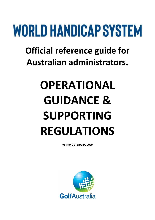# WORLD HANDICAP SYSTEM

**Official reference guide for Australian administrators.**

## **OPERATIONAL GUIDANCE & SUPPORTING REGULATIONS**

**Version 11 February 2020**

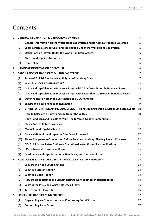## **Contents**

| 1. | <b>GENERAL INFORMATION &amp; OBLIGATIONS ON USERS</b><br>5 |                                                                                         |                |
|----|------------------------------------------------------------|-----------------------------------------------------------------------------------------|----------------|
|    | (A)                                                        | General Information on the World Handicap System and its Administration in Australia    | 5              |
|    | (B)                                                        | Legal & Permissions to Use Handicaps Issued Under the World Handicap System             | 5              |
|    | (C)                                                        | <b>Obligations on Players Under the World Handicap System</b>                           | 5              |
|    | (D)                                                        | <b>Club 'Handicapping Authority'</b>                                                    | 6              |
|    | (E)                                                        | <b>Home Club</b>                                                                        | 6              |
| 2. |                                                            | <b>HANDICAP INFORMATION DISCLOSURE</b>                                                  | 6              |
| 3. |                                                            | <b>CALCULATION OF HANDICAPS &amp; HANDICAP STATUS</b>                                   | $\overline{7}$ |
|    | (A)                                                        | Types of Official G.A. Handicap & Types of Handicap Status                              | $\overline{7}$ |
|    | (B)                                                        | What is a 'SCORE DIFFERENTIAL'?                                                         | 8              |
|    | (C)                                                        | G.A. Handicap Calculation Process - Player with 20 or More Scores in Handicap Record    | 8              |
|    | (D)                                                        | G.A. Handicap Calculation Process - Player with Fewer than 20 Scores in Handicap Record | 8              |
|    | (E)                                                        | Other Points to Note in the Calculation of a G.A. Handicap                              | 9              |
|    | (F)                                                        | <b>Exceptional Score Reduction Regulation</b>                                           | 9              |
|    | (G)                                                        | STABLEFORD HANDICAPPING ADJUSTMENT - Handicapping Stroke & Maximum Score Events         | 10             |
|    | (H)                                                        | How to Calculate a Daily Handicap Under the W.H.S.                                      | 10             |
|    | (1)                                                        | Daily Handicaps and Results of Multi-Tee & Mixed-Gender Competitions                    | 11             |
|    | (1)                                                        | <b>Player Fails to Return Scorecard</b>                                                 | 11             |
|    | (K)                                                        | <b>Manual Handicap Adjustments</b>                                                      | 12             |
|    | (L)                                                        | <b>Recalculation of Handicap after New Score Processed</b>                              | 12             |
|    | (M)                                                        | Player Competes in Competition Before Previous Handicap-Altering Score is Processed     | 12             |
|    | (N)                                                        | GOLF Link Score Status Options - Operational Notes & Handicap Implications              | 12             |
|    | (O)                                                        | Life of Scores & Lapsed Handicaps                                                       | 13             |
|    | (P)                                                        | <b>Maximum Handicaps, Provisional Handicaps, and Club Handicaps</b>                     | 13             |
| 4. |                                                            | HOW COURSE RATINGS ARE USED IN THE CALCULATION OF HANDICAPS                             | 14             |
|    | (A)                                                        | <b>Why Do We Need Course Ratings?</b>                                                   | 14             |
|    | (B)                                                        | <b>What is a Scratch Rating?</b>                                                        | 14             |
|    | (C)                                                        | <b>What is a Slope Rating?</b>                                                          | 14             |
|    | (D)                                                        | How Do Slope Ratings and Scratch Ratings Work Together In Handicapping?                 | 14             |
|    | (E)                                                        | What is the P.C.C. and What Role Does it Play?                                          | 15             |
|    | (F)                                                        | Tee Up and Preferred Lies                                                               | 16             |
| 5. |                                                            | <b>SCORES FOR HANDICAPPING PURPOSES</b>                                                 | 17             |
|    | (A)                                                        | <b>Regular Singles Competitions and Conforming Social Scores</b>                        | 17             |
|    | (B)                                                        | <b>Conforming Social Score</b>                                                          | 17             |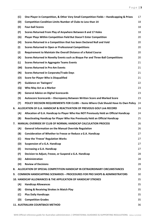|    | (C)               | One Player in Competition, & Other Very Small Competition Fields - Handicapping & Prizes | 17 |
|----|-------------------|------------------------------------------------------------------------------------------|----|
|    | (D)               | <b>Competition Condition Limits Number of Clubs to Less than 14</b>                      | 18 |
|    | (E)               | <b>Four-ball Scores</b>                                                                  | 18 |
|    | (F)               | Scores Returned From Play of Anywhere Between 8 and 17 Holes                             | 18 |
|    | (G)               | Player Plays Within Competition Field But Doesn't Enter Competition                      | 20 |
|    | (H)               | Scores Returned in a Competition that has been Declared Null and Void                    | 20 |
|    | (1)               | <b>Scores Returned in Open or Professional Competitions</b>                              | 20 |
|    | $\left( 1\right)$ | Requirement to Maintain the Overall Distance of a Rated Course                           | 20 |
|    | (K)               | Scores Returned in Novelty Events such as Bisque Par and Three-Ball Competitions         | 20 |
|    | (L)               | <b>Scores Returned in Aggregate Teams Events</b>                                         | 21 |
|    | (M)               | <b>Scores Returned in Pro-Am Events</b>                                                  | 21 |
|    | (N)               | <b>Scores Returned in Corporate/Trade Days</b>                                           | 21 |
|    | (O)               | <b>Score for Player Who is Disqualified</b>                                              | 21 |
|    | (P)               | <b>Guidance on 'Swingers'</b>                                                            | 22 |
|    | (Q)               | Who May Act as a Marker                                                                  | 23 |
|    | (R)               | <b>General Advice on Digital Scorecards</b>                                              | 23 |
|    | (S)               | Autoscore Scorecards - Discrepancy Between Written Score and Marked Score                | 23 |
|    | (T)               | POLICY DECISION REQUIREMENTS FOR CLUBS - Items Where Club Should Have its Own Policy     | 24 |
| 6. |                   | ALLOCATION OF G.A. HANDICAP & REACTIVATION OF PREVIOUS GOLF Link RECORD                  | 24 |
|    | (A)               | Allocation of G.A. Handicap to Player Who Has NOT Previously Held an Official Handicap   | 24 |
|    | (B)               | Reactivating Handicap for Player Who Has Previously Held an Official Handicap            | 25 |
| 7. |                   | <b>MANUAL OVERRIDE BY CLUB OF NORMAL HANDICAP CALCULATION PROCESS</b>                    | 26 |
|    | (A)               | <b>General Information on the Manual Override Regulation</b>                             | 26 |
|    | (B)               | Consideration of Whether to Freeze or Reduce a G.A. Handicap                             | 27 |
|    | (C)               | How the 'Freeze' Regulation Works                                                        | 27 |
|    | (D)               | <b>Suspension of a G.A. Handicap</b>                                                     | 27 |
|    | (E)               | Increasing a G.A. Handicap                                                               | 27 |
|    | (F)               | Decision to Adjust, Freeze, or Suspend a G.A. Handicap                                   | 28 |
|    | (G)               | Administration                                                                           | 28 |
|    | (H)               | <b>Review of Decisions</b>                                                               | 28 |
| 8. |                   | ALLOCATION OF SPECIAL COMPETITION HANDICAP IN EXTRAORDINARY CIRCUMSTANCES                | 29 |
| 9. |                   | <b>COMMON HANDICAPPING SCENARIOS - PROCEDURES FOR PRO SHOPS &amp; ADMINISTRATORS</b>     | 30 |
|    |                   | 10. HANDICAP ALLOWANCES & THE APPLICATION OF HANDICAP STROKES                            | 35 |
|    | (A)               | <b>Handicap Allowances</b>                                                               | 35 |
|    | (B)               | <b>Giving &amp; Receiving Strokes in Match Play</b>                                      | 35 |
|    | (C)               | <b>Plus Daily Handicaps</b>                                                              | 35 |
|    | (D)               | <b>Competition Grades</b>                                                                | 35 |
|    |                   | 11. AUSTRALIAN COUNTBACK METHOD                                                          | 36 |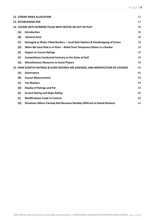| 37<br><b>12. STROKE INDEX ALLOCATION</b> |                                                                               |                                                                                                                                                                                     |  |
|------------------------------------------|-------------------------------------------------------------------------------|-------------------------------------------------------------------------------------------------------------------------------------------------------------------------------------|--|
|                                          |                                                                               | 37                                                                                                                                                                                  |  |
|                                          |                                                                               | 38                                                                                                                                                                                  |  |
| (A)                                      | Introduction                                                                  | 38                                                                                                                                                                                  |  |
| (B)                                      | 'General Area'                                                                | 38                                                                                                                                                                                  |  |
| (C)                                      | Damaged or Water-Filled Bunkers - Local Rule Options & Handicapping of Scores | 38                                                                                                                                                                                  |  |
| (D)                                      | When No Local Rule is in Place - Relief from Temporary Water in a Bunker      | 39                                                                                                                                                                                  |  |
| (E)                                      | <b>Impact on Course Ratings</b>                                               | 39                                                                                                                                                                                  |  |
| (F)                                      | <b>Competitions Conducted Contrary to the Rules of Golf</b>                   | 39                                                                                                                                                                                  |  |
| (G)                                      | <b>Miscellaneous Measures to Assist Players</b>                               | 39                                                                                                                                                                                  |  |
|                                          |                                                                               | 40                                                                                                                                                                                  |  |
| (A)                                      | Governance                                                                    | 40                                                                                                                                                                                  |  |
| (B)                                      | <b>Course Measurement</b>                                                     | 40                                                                                                                                                                                  |  |
| (C)                                      | <b>Tee Markers</b>                                                            | 40                                                                                                                                                                                  |  |
| (D)                                      | <b>Display of Ratings and Par</b>                                             | 40                                                                                                                                                                                  |  |
| (E)                                      | <b>Scratch Rating and Slope Rating</b>                                        | 40                                                                                                                                                                                  |  |
| (F)                                      | <b>Modifications made to Courses</b>                                          | 40                                                                                                                                                                                  |  |
| (G)                                      | Situations Where Fairway Roll Becomes Notably Different to Rated Distance     | 42                                                                                                                                                                                  |  |
|                                          |                                                                               | <b>13. ESTABLISHING PAR</b><br><b>14. COURSE WITH BUNKERS FILLED WITH WATER OR OUT OF PLAY</b><br>15. HOW SCRATCH RATINGS & SLOPE RATINGS ARE ASSESSED, AND MODIFICATION OF COURSES |  |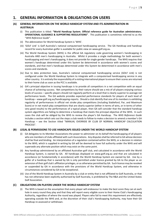## <span id="page-4-0"></span>**1. GENERAL INFORMATION & OBLIGATIONS ON USERS**

#### <span id="page-4-1"></span>**(A) GENERAL INFORMATION ON THE WORLD HANDICAP SYSTEM AND ITS ADMINISTRATION IN AUSTRALIA**

- (i) This publication is titled: **"World Handicap System. Official reference guide for Australian administrators. OPERATIONAL GUIDANCE & SUPPORTING REGULATIONS"**. This publication is sometimes referred to as the "*WHS Reference Guide*".
- (ii) The abbreviation for World Handicap System is 'WHS'.
- (iii) 'GOLF Link' is Golf Australia's national computerised handicapping service. The GA Handicap and handicap record for every Australian golfer is available for public view o[n www.golf.org.au.](http://www.golf.org.au/)
- (iii) The World Handicap System (WHS) is the official GA regulatory code governing women's handicapping in Australia AND men's handicapping in Australia. Whilst it provides a single methodology for both women's handicapping and men's handicapping, it does not provide for single-gender handicaps. The WHS requires that women's handicaps determined under this System be determined in accordance with women's scores and standards, and that men's handicaps determined under this System be determined in accordance with men's scores and standards.
- (iv) Due to data protection laws, Australia's national computerised handicapping service (GOLF Link) is not configured under the World Handicap System to integrate with a computerised handicapping service in any other country. It is entirely the responsibility of a visiting international player to ensure their scores are returned to their home club as soon as the PCC is available.
- (v) GA's principal objective in issuing handicaps is to provide all competitors in a net competition with an equal chance of achieving success. Net competitions by their nature should see a mix of all players enjoying various levels of success – specific players should not regularly perform at a level that is clearly superior to average net performance levels. The GA website provides expected performance standards for players of each level of handicap – [www.golf.org.au/handicapping-reports.](http://www.golf.org.au/handicapping-reports) Should a club identify that one of its members is exhibiting regularity of performances in official net stroke play competitions (including Stableford, Par, and Maximum Score) or in net match play competitions that are clearly superior (either in terms of wins, or in terms of other very good results) to the performances of a typical player, then GA will consider that the standard handicap system algorithms are failing to determine a handicap that meets the principal objective of the WHS. In such cases the club will be obliged by the WHS to review the player's GA Handicap. The *WHS Reference Guide* includes a section which sets out the steps a club needs to follow to make a decision to amend a member's GA Handicap – see the Section titled "MANUAL OVERRIDE BY CLUB OF NORMAL HANDICAP CALCULATION PROCESS".

#### <span id="page-4-2"></span>**(B) LEGAL & PERMISSIONS TO USE HANDICAPS ISSUED UNDER THE WORLD HANDICAP SYSTEM**

- (i) GA delegates to its Member Associations the power to administer on its behalf the handicapping of all players who are members of clubs affiliated with such Associations. Any disputes shall be referred to GA whose decision shall be final and binding. An interpretation of a regulation contained within the WHS, or a decision in relation to the WHS, which is supplied in writing by GA will be deemed to have full authority under the WHS and will supersede any alternate position which may exist on the same point.
- (ii) Any handicap administered by an affiliated Australian golf club, and calculated in accordance with the World Handicap System, is owned by GA. All handicaps displayed on [www.golf.org.au](http://www.golf.org.au/) and that are calculated in accordance (or fundamentally in accordance) with the World Handicap System are owned by GA. Use by a golfer of a handicap that is owned by GA is only permitted under licence granted by GA to the player as an extension of their golf club's affiliation privileges, or as otherwise permitted by GA. Such licence may be revoked or suspended by GA in accordance with the provisions of the World Handicap System, and otherwise in circumstances considered by GA to be exceptional.
- (iii) Use of the World Handicap System in Australia by a club or entity that is not affiliated to Golf Australia, or that has not otherwise been explicitly authorised by Golf Australia, is prohibited by The R&A and the United States Golf Association.

#### <span id="page-4-3"></span>**(C) OBLIGATIONS ON PLAYERS UNDER THE WORLD HANDICAP SYSTEM**

(i) The WHS is based on the assumption that every player will endeavour to make the best score they can at each hole in every round they play and that they will report every eligible score to their Home Club's Handicapping Authority, regardless of where the round was played. Players who fail to meet this requirement are effectively operating outside the WHS and, at the discretion of their club's Handicapping Authority, may have their GA Handicap re-assessed or withdrawn.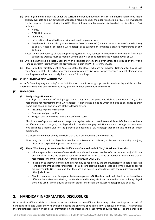- (ii) By using a handicap allocated under the WHS, the player acknowledges that certain information may be made publicly available on a GA authorised webpage (including a club, Member Association, or GOLF Link webpage) for the purposes of administering the WHS. Player information that may be displayed (at the discretion of GA) includes:
	- Name.
	- GOLF Link number.
	- Club name.
	- **E** Information relevant to their scoring and handicapping history.
	- Any determination made by a club, Member Association or GA (or made under a review of such decision) to adjust, freeze or suspend a GA Handicap, or to suspend or terminate a player's membership of any golf club.
	- Note: GA will be bound by all relevant privacy legislation. Any request to remove such information from a GA authorised website must be made in writing and will be considered by the website owner or GA.
- (iii) By using a handicap allocated under the World Handicap System, the player agrees to be bound by the World Handicap System together with the provisions set out in this WHS Reference Guide.
- (iv) Players awaiting reinstatement to Amateur Status (or players who are not Amateur Golfers) after having lost their Amateur Status by virtue of accepting a prize of excessive value for performance in a net element of a handicap competition are not eligible to hold a GA Handicap.

#### <span id="page-5-0"></span>**(D) CLUB 'HANDICAPPING AUTHORITY'**

A club's 'Handicapping Authority' is an individual or committee or group that is permitted by a club or other appropriate entity to exercise the authority granted to that club or entity by the WHS.

#### <span id="page-5-1"></span>**(E) HOME CLUB**

#### **(i) Designating a Home Club**

If a player is a member of multiple golf clubs, they must designate one club as their Home Club, to be responsible for maintaining their GA Handicap. A player should decide which golf club to designate as their home club based on one or more of the following criteria:

- Proximity to primary residence,
- Frequency of play, and/or
- The golf club where they submit most of their scores.

Should a player's primary residence change on a regular basis such that different clubs satisfy the above criteria at different times of the year, the player should consider changing their Home Club accordingly. Players must not designate a Home Club for the purpose of obtaining a GA Handicap that could give them an unfair advantage.

If a player is a member of only one club, that club is automatically their Home Club.

Note: Any club of which a player is a member, or a Member Association, or GA has the authority to adjust, freeze, or suspend that player's GA Handicap.

#### **(ii) Player Who Belongs to an Australian Golf Club or Clubs and to Golf Club/s Outside of Australia**

- Where a player is a member of an Australian club/s, and is also a member of a club located in a jurisdiction outside of Australia, the player is required by Golf Australia to have an Australian Home Club that is responsible for administering a GA Handicap through GOLF Link.
- In addition to their GA Handicap, the player may be required by the other jurisdiction to hold a separate Handicap under that other jurisdiction. If this occurs, it is the player's responsibility to ensure all scores are entered into GOLF Link, and that they are also posted in accordance with the requirements of the other jurisdiction.
- Should there ever be a discrepancy between a player's GA Handicap and their Handicap as issued by a different Authorized Association, the Handicap within the jurisdiction where the round is being played should be used. When playing outside of either jurisdiction, the lowest Handicap should be used.

## <span id="page-5-2"></span>**2. HANDICAP INFORMATION DISCLOSURE**

No Australian affiliated club, association or other affiliated or non-affiliated body may make handicaps or records of handicaps calculated under the WHS available outside the environs of its golf facility, clubhouse or office. This prohibits the unauthorised display of handicap information on the internet and other forms of public media. For the purpose of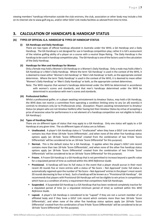viewing members' handicap information outside the club environs, the club, association or other body may include a link on its internet site to [www.golf.org.au,](www.golf.org.au) and/or other GOLF Link media facilities as advised from time to time.

## <span id="page-6-0"></span>**3. CALCULATION OF HANDICAPS & HANDICAP STATUS**

#### <span id="page-6-1"></span>**(A) TYPES OF OFFICIAL G.A. HANDICAP & TYPES OF HANDICAP STATUS**

#### **(i) GA Handicaps and Daily Handicaps**

There are two types of official handicap allocated in Australia under the WHS; a GA Handicap and a Daily Handicap. The GA Handicap is not designed for use in handicap competition play; rather it is GA's assessment of the relative golfing ability of a player on a course with a neutral Slope Rating. The Daily Handicap is the handicap to be used in handicap competition play. The GA Handicap is one of the factors used in the calculation of the Daily Handicap.

#### **(ii) Handicaps for Men and Handicaps for Women**

Only a female may hold a Women's GA Handicap or a Women's Daily Handicap. Only a male may hold a Men's GA Handicap or a Men's Daily Handicap. Where the term 'GA Handicap' is used in the context of the WHS, it is deemed to mean either 'Women's GA Handicap' or 'Men's GA Handicap' or both, as the appropriate context determines. Where the term 'Daily Handicap' is used in the context of the WHS, it is deemed to mean either 'Women's Daily Handicap' or 'Men's Daily Handicap' or both, as the appropriate context determines.

Note: The WHS requires that women's handicaps determined under the WHS be determined in accordance with women's scores and standards, and that men's handicaps determined under the WHS be determined in accordance with men's scores and standards.

#### **(iii) Professional Golfers**

Whilst a professional golfer, or a player awaiting reinstatement to Amateur Status, may hold a GA Handicap, the WHS does not restrict a committee from operating a condition limiting entry to any (or all) event(s) it controls to Amateurs only (or to Professionals only). (Exception: Players awaiting reinstatement to Amateur Status (or players who are not Amateur Golfers) after having lost their Amateur Status by virtue of accepting a prize of excessive value for performance in a net element of a handicap competition are not eligible to hold a GA Handicap.)

#### **(iv) Types of Handicap Status**

There are six different types of status that may apply to a GA Handicap. Only one status will apply to a GA Handicap at any given time. The six different types of status are as follows:

- Unallocated. A player's GA Handicap status is "Unallocated" when they have a GOLF Link record which contains less than three 18-hole 'Score Differentials', and when none of the other five handicap status options apply (an 18-hole 'Score Differential' created from the combination of two 9-hole 'Score Differentials' will be considered to be an 18-hole 'Score Differential' for this purpose).
- Normal. This is the default status for a GA Handicap. It applies when the player's GOLF Link record contains more than two 18-hole 'Score Differentials', and when none of the other five handicap status options apply (an 18-hole 'Score Differential' created from the combination of two 9-hole 'Score Differentials' will be considered to be an 18-hole 'Score Differential' for this purpose).
- **Frozen.** A Frozen GA Handicap is a GA Handicap that is not permitted to increase beyond a specific value for a stipulated period of time as outlined within this *WHS Reference Guide*.
- **Provisional.** A handicap will lose its full status in the event that a player should accrue in their most recent 20 rounds five or more entries with a status of 'No Score – Not Approved' (note: full status is automatically regained upon the number of 'No Score – Not Approved' entries in the player's most recent 20 rounds decreasing to four or less). Such a handicap will be known as a "Provisional GA Handicap". GA recommends that players with Provisional GA Handicaps will not be eligible to win prizes in competitions which have as a condition of entry a requirement that competitors hold GA Handicaps.
- **Suspended.** A Suspended GA Handicap is a GA Handicap that has been rendered completely inactive for a stipulated period of time (or a stipulated minimum period of time) as outlined within this *WHS Reference Guide*.
- Lapsed. A player's GA Handicap is considered to be "Lapsed" if they are not a current member of an affiliated body and if they have a GOLF Link record which contains more than two 18-hole 'Score Differentials', and when none of the other five handicap status options apply (an 18-hole 'Score Differential' created from the combination of two 9-hole 'Score Differentials' will be considered to be an 18-hole 'Score Differential' for this purpose).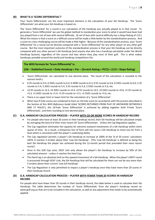#### <span id="page-7-0"></span>**(B) WHAT IS A 'SCORE DIFFERENTIAL'?**

Your 'Score Differentials' are the most important element in the calculation of your GA Handicap. The 'Score Differentials' are what your GA Handicap is based on.

The 'Score Differential' for a round is our calculation of the handicap you actually played to in that round. To generate a 'Score Differential' we use the global method to standardise your score to what it would have been had you played from a set of tees with neutral difficulty. (A set of tees with neutral difficulty has a Slope Rating of 113.) What this means is that a score on a difficult course will be made a little better by the standardisation process. And a score on a less-challenging course will be made a little higher. Because of this standardisation process, your 'Score Differential' for a round can be directly compared with a 'Score Differential' for any other player on any other golf course. But the most important outcome of the standardisation process is that your GA Handicap can be directly compared with any other person's GA Handicap (and anyone else who has a handicap calculated under the World Handicap System), regardless of the course and tees where they play most of their golf. This is what makes handicaps portable around the world and handicap competitions fair.

**The WHS formula for 'Score Differential' is:**

**((36 – Stableford Score) + Daily Handicap + Par – (Scratch Rating + PCC)) × (113 ÷ Slope Rating)**

- 'Score Differentials' are calculated to one decimal place. The result of the calculation is rounded to the nearest tenth.)
- 0.35 rounds to 0.4, 0.3501 rounds to 0.4, 0.3499 rounds to 0.3, 0.55 rounds to 0.6, 0.5501 rounds to 0.6, 5.35 rounds to 5.4, 5.3501 rounds to 5.4, 5.55 rounds to 5.6, 5.5501 rounds to 5.6, etc.
- +0.35 rounds to +0.3, +0.3501 rounds to +0.4, +0.55 rounds to +0.5, +0.5501 rounds to +0.6, +5.35 rounds to +5.3, +5.3501 rounds to +5.4, +5.55 rounds to +5.5, +5.5501 rounds to +5.6, etc.
- There is no upper limit or lower limit for the calculation of a 'Score Differential'.
- When two 9-hole scores are combined to form an 18-hole score (in accordance with the process described in the Section of this *WHS Reference Guide* titled 'SCORES RETURNED FROM PLAY OF ANYWHERE BETWEEN 8 AND 17 HOLES'), the 18-hole 'Score Differential' is achieved by adding together both 9-hole 'Score Differentials', and then rounding to one decimal place.

#### <span id="page-7-1"></span>**(C) G.A. HANDICAP CALCULATION PROCESS – PLAYER WITH 20 OR MORE SCORES IN HANDICAP RECORD**

- For people who have at least 20 scores in their handicap record, their GA Handicap will be calculated simply by averaging the best 8 of their most recent 20 'Score Differentials'. Unless the Cap Regulation applies.
- The Cap regulation eliminates the capacity for extreme outward movements of a GA Handicap within short spaces of time. As a result, a temporary loss of form will not cause a GA Handicap to move too far from a level which is consistent with the player's underlying ability.
- The Cap regulation permits a player's GA Handicap to increase at 100% of the '8 of 20 scores' calculation UNTIL it reaches 3 strokes above their 'Low GA Handicap'. (The 'Low GA Handicap' is defined as being the best GA Handicap the player has achieved during the 12-month period that preceded their most recent round.)
- Once in this Soft Cap zone, GOLF Link only allows the player's GA Handicap to increase by 50% of the calculated amount – unless it reaches the Hard Cap.
- The Hard Cap is an absolute limit on the upward movement of a GA Handicap. When the player's NEXT round is processed through GOLF Link, the GA Handicap that will be calculated for them can not be any more than 5 strokes above their current 'Low GA Handicap'.
- The Cap Regulation is only permitted to impact a player's handicap once they have more than 20 scores in their handicap record.

#### <span id="page-7-2"></span>**(D) G.A. HANDICAP CALCULATION PROCESS – PLAYER WITH FEWER THAN 20 SCORES IN HANDICAP RECORD**

For people who have fewer than 20 rounds in their handicap record, the table below is used to calculate their GA Handicap. The table determines the number of 'Score Differentials' from the player's handicap record on www.golf.org.au that are to be included in the calculation, as well as any adjustment that needs to be automatically applied.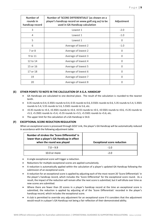| Number of<br>rounds in<br>handicap record | Number of 'SCORE DIFFERENTIALS' (as shown on a<br>player's handicap record on www.golf.org.au) to be<br>used in GA Handicap calculation | Adjustment |
|-------------------------------------------|-----------------------------------------------------------------------------------------------------------------------------------------|------------|
| 3                                         | Lowest 1                                                                                                                                | $-2.0$     |
| 4                                         | Lowest 1                                                                                                                                | $-1.0$     |
| 5                                         | Lowest 1                                                                                                                                | 0          |
| 6                                         | Average of lowest 2                                                                                                                     | $-1.0$     |
| 7 or 8                                    | Average of lowest 2                                                                                                                     | $\Omega$   |
| 9 to 11                                   | Average of lowest 3                                                                                                                     | 0          |
| 12 to 14                                  | Average of lowest 4                                                                                                                     | $\Omega$   |
| 15 or 16                                  | Average of lowest 5                                                                                                                     | $\Omega$   |
| 17 or 18                                  | Average of lowest 6                                                                                                                     | $\Omega$   |
| 19                                        | Average of lowest 7                                                                                                                     | $\Omega$   |
| 20                                        | Average of lowest 8                                                                                                                     | 0          |

#### <span id="page-8-0"></span>**(E) OTHER POINTS TO NOTE IN THE CALCULATION OF A G.A. HANDICAP**

- GA Handicaps are calculated to one decimal place. The result of the calculation is rounded to the nearest tenth.
- 0.35 rounds to 0.4, 0.3501 rounds to 0.4, 0.55 rounds to 0.6, 0.5501 rounds to 0.6, 5.35 rounds to 5.4, 5.3501 rounds to 5.4, 5.55 rounds to 5.6, 5.5501 rounds to 5.6, etc.
- +0.35 rounds to +0.3, +0.3501 rounds to +0.4, +0.55 rounds to +0.5, +0.5501 rounds to +0.6, +5.35 rounds to +5.3, +5.3501 rounds to +5.4, +5.55 rounds to +5.5, +5.5501 rounds to +5.6, etc.
- The upper limit for the calculation of a GA Handicap is 54.0.

#### <span id="page-8-1"></span>**(F) EXCEPTIONAL SCORE REDUCTION REGULATION**

When an exceptional score is processed through GOLF Link, the player's GA Handicap will be automatically reduced in accordance with the following adjustment table:

| Number of strokes the 'Score Differential' is<br>lower than a player's GA Handicap in effect<br>when the round was played | <b>Exceptional score reduction</b> |
|---------------------------------------------------------------------------------------------------------------------------|------------------------------------|
| $7.0 - 9.9$                                                                                                               | $-1.0$                             |
| 10.0 or more                                                                                                              | -2.0                               |

- A single exceptional score will trigger a reduction.
- Reductions for multiple exceptional scores are applied cumulatively.
- A reduction is automatically applied within the calculation of a player's updated GA Handicap following the submission of an exceptional score.
- A reduction for an exceptional score is applied by adjusting each of the most recent 20 'Score Differentials' in the player's handicap record, which includes the 'Score Differential' for the exceptional score round. As a result, the impact of the reduction will remain after the next score is submitted, but it will dilute over time as new scores are submitted.
- Where there are fewer than 20 scores in a player's handicap record at the time an exceptional score is submitted, the reduction is applied by adjusting all of the 'Score Differentials' recorded in the player's handicap record, which includes the exceptional score.
- A club is permitted to override any adjustment for an exceptional score if it considers that the adjustment would result in a player's GA Handicap not being a fair reflection of their demonstrated ability.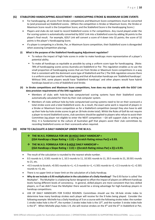#### <span id="page-9-0"></span>**(G) STABLEFORD HANDICAPPING ADJUSTMENT – HANDICAPPING STROKE & MAXIMUM SCORE EVENTS**

- For handicapping, all scores from Stroke competitions and Maximum Score competitions must be converted to (and processed as) Stableford scores. (Where the competition is Stroke or Maximum Score, the Stroke or Maximum Score result is the Competition Score; and the Stableford Score is the Handicapping Score.)
- Players and clubs do not need to record Stableford scores in Par competitions. Any round played under the Par scoring system is automatically converted by GOLF Link into a Stableford score by adding 36 points to the player's final result. For example, GOLF Link will convert a score of 4 down into 32 points; the score of 32 points is the player's Handicapping Score.
- If a player is competing in a Stroke, Par, or Maximum Score competition, their Stableford score is disregarded when assessing Competition placings.
- **(i) What is the purpose of the Stableford Handicapping Adjustment regulation?**
	- To reduce the impact of high hole scores in order to make handicaps more representative of a player's potential ability.
	- To make all handicaps as equitable as possible by using a uniform score type for handicapping. (Note: 78% of handicapping scores across Australia are Stableford or Par. This regulation enables us to use the small proportion of handicapping scores that are from Stroke or Maximum Score competitions in a way that is consistent with the dominant score type of Stableford and Par.) The SHA regulation ensures there is a uniform score type used for handicapping and that all Australian handicaps are 'Stableford handicaps'. Without SHA, some players would have 'Stableford handicaps' and other players would have hybrid handicaps based on a mix of Stableford and Stroke.
- **(ii) In Stroke competitions and Maximum Score competitions, how does my club comply with the GOLF Link data provision requirements of the SHA regulation?**
	- Members of clubs with hole-by-hole computerised scoring systems have their Stableford scores automatically calculated for them by their club computer system.
	- Members of clubs without hole-by-hole computerised scoring systems need to list on their scorecard a total stroke score and a total Stableford score. As a result, the exact same work is required of players in a Stroke or Maximum Score competition as for a Stableford competition (except they also have to add up their hole-by-hole stroke scores to get an 18-hole stroke total). Whilst the Rules of Golf do not require a player to record Stableford scores, club sanctions should be applied to players who refuse to assist their Committee (eg player not eligible to enter the NEXT competition – GA will support clubs in writing on this). It is fundamental to the culture of Australian golf that players assist their club committees by recording Stableford scores on their scorecards when required.

#### <span id="page-9-1"></span>**(H) HOW TO CALCULATE A DAILY HANDICAP UNDER THE W.H.S.**

- ❖ **THE W.H.S. FORMULA FOR AN 18-HOLE DAILY HANDICAP = ((GA Handicap x Slope Rating ÷ 113) + (Scratch Rating minus Par)) x 0.93.**
- ❖ **THE W.H.S. FORMULA FOR A 9-HOLE DAILY HANDICAP = ((GA Handicap x Slope Rating ÷ 113) + ((Scratch Rating minus Par) x 2)) x 0.93.**
- The result of the calculation is rounded to the nearest whole number.
- 0.5 rounds to 1, 0.501 rounds to 1, 10.5 rounds to 11, 10.501 rounds to 11, 20.5 rounds to 21, 20.501 rounds to 21, etc.
- +0.5 rounds to Scratch, +0.501 rounds to +1, +1.5 rounds to +1, +1.501 rounds to +2, +2.5 rounds to +2, +2.501 rounds to +3, etc.
- There is no upper limit or lower limit on the calculation of a Daily Handicap.
- **Why do we include a 0.93 multiplication in the calculation of a Daily Handicap?** The 0.93 factor is called 'the Multiplier'. The Multiplier is a balancing factor designed to offset the impact of players on different handicap levels having different levels of consistency. In general, skilled players are more consistent than less-skilled players, so if we didn't have the Multiplier there would be a strong advantage for high-handicap players in handicap competitions.
- USE OF DAILY HANDICAPS FOR 9-HOLE ROUNDS: Committees should use the 18-hole stroke index to determine how many handicap strokes each player will receive for the 9 holes being played. Consider the following example: Michelle has a Daily Handicap of 3 on a course with the following stroke index: the number 1 stroke index hole is the 4<sup>th</sup>, the number 2 stroke index hole is the  $13<sup>th</sup>$ , and the number 3 stroke index hole is the 6<sup>th</sup>. When Michelle plays holes 1-9, she will receive strokes on the 4<sup>th</sup> and the 6<sup>th</sup> in Stableford or Par,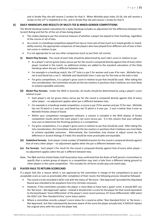and in Stroke Play she will receive 2 strokes for that 9. When Michelle plays holes 10-18, she will receive a stroke on the 13<sup>th</sup> in Stableford or Par, and in Stroke Play she will receive 1 stroke for that 9.

#### <span id="page-10-0"></span>**(I) DAILY HANDICAPS AND RESULTS OF MULTI-TEE & MIXED-GENDER COMPETITIONS**

The World Handicap System calculation for a Daily Handicap includes an adjustment for the difference between the Scratch Rating and the Par of the set of tees being played.

- This makes playing to par the universal measure of whether a player has played to their handicap, regardless of the course or set of tees.
- As a result, in a handicap competition played from two or more sets of tees (such as in mixed-gender or mixedability events), the appropriate comparison of two players who have played from different sets of tees is their net scores in relation to par.
- It is not appropriate to use any other comparison (such as just their net scores).
- **(i) Match Play formats.** The result of each hole should be determined by each side's score in relation to par.
	- As a player's net (or gross) status versus par for the round is compared directly against that of every other player involved in the match, no additional strokes are added to the standard calculation of the Daily Handicap when the par is different between tees.
	- **EX** For example in a handicap match, the 13<sup>th</sup> hole is a par 5 for women and a par 4 for men. Michelle has a net 6 and David has a net 5. Michelle and David both have 1-over par for the hole so the hole is tied.
	- For gross competitions, it is a player's gross score in relation to par that should be used. After taking this into consideration, the Committee should set the tee markers in positions that it believes are most likely to achieve equitable outcomes.
- **(ii) Medal Play formats.** Under the WHS in Australia, all results should be determined by using a player's score relative to par.
	- Each player's net (or gross) status versus par for the round is compared directly against that of every other player – no adjustment applies when par is different between tees.
	- For example in a handicap medal competition, a course is par 74 for women and par 72 for men. Michelle has net 76 which is 2 over par, and David has net 75 which is 3 over par. 2 over is better than 3 over so Michelle finishes ahead of David.
	- Within your competition management software, a column is included in the WHS display of Stroke competition results which lists each player's net score versus par. It is this column that your software now uses to determine the finishing positions in a competition.
	- For gross competitions, it is a player's gross score in relation to par that should be used. After taking this into consideration, the Committee should set the tee markers in positions that it believes are most likely to achieve equitable outcomes. Alternatively, the Committee may choose to adjust scores by the difference in Scratch Ratings if it feels this would be more practicable and equitable.
- **(iii) Stableford formats.** Each player's total number of Stableford points for the round is compared directly against that of every other player – no adjustment applies when the par is different between tees.
- **(iv) Par formats.** Each player's Par result for the round is compared directly against that of every other player no adjustment applies when the par is different between tees.
- Note: The R&A and the United States Golf Association have confirmed that the Rules of Golf permit a Committee to specify that a certain group of players in a competition may start a hole from a different teeing ground to other players in the same competition. This includes for all forms stroke play and match play.

#### <span id="page-10-1"></span>**(J) PLAYER FAILS TO RETURN SCORECARD**

If a player fails (for a reason which is not approved by the committee in charge of the competition) to post an acceptable score as soon as practicable after completion of their round, the following process should be followed:

- The round is to be recorded in GOLF Link with the status of 'No Score Not Approved' (provided the Stipulated Round was intended to be anywhere from 8 to 18 holes inclusive).
- However, if the committee considers the player is most likely to have had a 'good' score, it should NOT use the 'No Score – Not Approved' option. Instead it should enter a score for the player for that round equivalent to the best/lowest 'Score Differential' of the player's most recent previous 19 'Score Differentials' AND select the GOLF Link 'Non-Standard Entry' score status option.
- Where a committee records a player's score status for a round as either 'Non-Standard Entry' or 'No Score Not Approved', but then subsequently becomes aware of the score the player actually had, it SHOULD replace the original entry with the score the player had.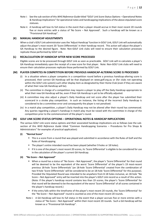- Note i: See the sub-section of this *WHS Reference Guide* titled "GOLF Link Score Status Options Operational Notes & Handicap Implications" for operational notes and handicapping implications of the above stipulated score statuses.
- Note ii: A handicap will lose its full status in the event that a player should accrue in their most recent 20 rounds five or more entries with a status of 'No Score – Not Approved'. Such a handicap will be known as a "Provisional GA Handicap".

#### <span id="page-11-0"></span>**(K) MANUAL HANDICAP ADJUSTMENTS**

When a club's GOLF Link administrator uses the 'Adjust Handicap' function in GOLF Link, GOLF Link will automatically adjust the player's most recent 20 'Score Differentials' in their handicap record. This action will adjust the player's GA Handicap to the desired figure. Note: Non-GOLF Link clubs will need to ensure their calculation processes replicate those performed by GOLF Link.

#### <span id="page-11-1"></span>**(L) RECALCULATION OF HANDICAP AFTER NEW SCORE PROCESSED**

Eligible scores are to be processed through GOLF Link as soon as practicable. GOLF Link will re-calculate a player's GA Handicap immediately upon the receipt of a new score for that player. Note: Non-GOLF Link clubs will need to ensure their calculation processes replicate those performed by GOLF Link.

#### <span id="page-11-2"></span>**(M) PLAYER COMPETES IN COMPETITION BEFORE PREVIOUS HANDICAP-ALTERING SCORE IS PROCESSED**

- (i) In a situation where a player competes in a competition round before a previous handicap-altering score is processed, their correct GA Handicap will be that displayed on<www.golf.org.au> or (for clubs not operating within the GOLF Link system) such other display item as designated by their Home Club (even if they are aware of what their new GA Handicap will be).
- (ii) The committee in charge of a competition may require a player to play off the Daily Handicap appropriate to what their new GA Handicap will be, even if their GA Handicap is yet to be officially adjusted.
- (iii) A committee may also adjust a player's Daily Handicap and net score after the player has submitted their scorecard in a stroke play competition. In such an instance, the listing of the incorrect Daily Handicap is considered to be a committee error and consequently the player is not penalised.
- (iv) In a match play competition, a player's Daily Handicap may not be altered after their round has commenced. Any queries regarding a player's handicap in match play must be raised with the committee in charge of the competition prior to the commencement of the player's round.

#### <span id="page-11-3"></span>**(N) GOLF LINK SCORE STATUS OPTIONS – OPERATIONAL NOTES & HANDICAP IMPLICATIONS**

The various GOLF Link score status options and their associated handicap implications are as follows (see the subsection of this *WHS Reference Guide* titled "Common Handicapping Scenarios – Procedures for Pro Shops & Administrators" for examples of practical application):

#### **(i) "Normal Score"**

- This is a score from a round that was played and submitted in accordance with the Rules of Golf and the Rules of Handicapping.
- The player's entire intended round has been played (whether 9 holes or 18 holes).
- If it is one of the player's most recent 20 scores, its 'Score Differential' is eligible to be considered for use in the calculation of the player's current GA Handicap.

#### **(ii) "No Score – Not Approved"**

- When a round has a status of "No Score Not Approved", the player's 'Score Differential' for that round will be deemed to be the equivalent of the worst 'Score Differential' of the player's 19 most-recent previous 18-hole 'Score Differentials' (an 18-hole 'Score Differential' created from the combination of two 9-hole 'Score Differentials' will be considered to be an 18-hole 'Score Differential' for this purpose). Provided the Stipulated Round was intended to be anywhere from 8-18 holes inclusive, an 18-hole "No Score – Not Approved" entry will be inserted into the player's GOLF Link record as a result of this action. (Note: If the player's handicap record contains less than 19 scores, the player's 'Score Differential' for that round will be deemed to be the equivalent of the worst 'Score Differential' of all scores contained in the player's handicap record.)
- If the entry falls within the timeframe of the player's most recent 20 rounds, the 'Score Differential' for the "No Score – Not Approved" round is counted as one of the most-recent 20 rounds.
- Note i: A GA Handicap will lose its full status in the event that a player accrues five or more entries with a status of "No Score – Not Approved" within their most recent 20 rounds. Such a GA Handicap will be known as a "Provisional GA Handicap".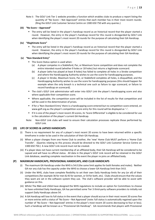Note ii: The GOLF Link Tier 1 website provides a function which enables clubs to produce a report listing the quantity of "No Score – Not Approved" entries that each member has in their most recent rounds. (Ring the GOLF Link Customer Service Centre on 1300 650 750 with any queries.)

#### **(iii) "No Score – Approved"**

■ The entry will be listed in the player's handicap record as an historical record that the player started a round. However, the entry in the player's handicap record for this round is disregarded by GOLF Link when identifying the player's most recent 20 rounds for the purpose of calculating their GA Handicap.

#### **(iv) "Illegitimate Score"**

▪ The entry will be listed in the player's handicap record as an historical record that the player started a round. However, the entry in the player's handicap record for this round is disregarded by GOLF Link when identifying the player's most recent 20 rounds for the purpose of calculating their GA Handicap.

#### **(v) "Non-Standard Entry"**

- This Score Status option is used when:
	- (a) A player competes in a Stableford, Par, or Maximum Score competition and does not complete the entire intended round (whether 9 holes or 18 holes) but returns a legitimate scorecard.
	- (b) A player (who has played at least 8 holes) has failed to complete all holes in a Stroke competition and where the Handicapping Authority wishes to use the score for handicapping purposes.
	- (c) A player in Stroke, Maximum Score, Par, or Stableford completes all holes, is disqualified, and the Handicapping Authority wishes to use the score for handicapping purposes (this should happen for example when the only breach is a technical one such as failure to sign scorecard, or failure to record handicap on scorecard).
- The club's GOLF Link administrator will enter into GOLF Link the player's handicapping score and also where applicable their competition score.
- Where applicable, the competition score will be included in the list of results for that competition and will be used in the determination of prizes.
- If for a 'Non-Standard Entry' there is a handicapping score entered but no competition score entered, on [www.golf.org.au](http://www.golf.org.au/) the player's competition score entry for this round will be displayed as '–'.
- If it is one of the player's most recent 20 scores, its 'Score Differential' is eligible to be considered for use in the calculation of the player's current GA Handicap.
- Note: Non-GOLF Link clubs will need to ensure their calculation processes replicate those performed by GOLF Link.

#### <span id="page-12-0"></span>**(O) LIFE OF SCORES & LAPSED HANDICAPS**

- (i) There is no requirement for any of a player's most recent 20 scores to have been returned within a specific timeframe in order to be used in the calculation of their GA Handicap.
- (ii) When a player changes from one Home Club to another, the 'new' Home Club MUST perform a 'Home Club Transfer'. (Queries relating to this process should be directed to the GOLF Link Customer Service Centre on 1300 650 750.) A new GOLF Link record must not be created.
- (iii) If a player does not have current membership of an affiliated body, their GA Handicap will be considered to be Lapsed and will have no official status. All data in the player's GOLF Link record will be retained in the GOLF Link database, awaiting complete reactivation in the event the player re-joins an affiliated body.

#### <span id="page-12-1"></span>**(P) MAXIMUM HANDICAPS, PROVISIONAL HANDICAPS, AND CLUB HANDICAPS**

- (i) The maximum GA Handicap under the WHS is 54.0 (the same limit applies for both females and males). Neither GA nor any club has the capacity under the WHS to choose a lower GA Handicap limit than 54.0.
- (ii) Under the WHS, clubs have complete flexibility to set their own Daily Handicap limits for any (or all) of their competitions (for example 36 for men & 45 for women, or 54 for both, etc). Clubs should ensure that the values they want are set in the software system they use. The club's software provider will be able to assist with guidance on this.
- (iii) Whilst The R&A and USGA have designed the WHS regulations to include an option for Committees to choose to have unlimited Daily Handicaps, GA has permitted some Tier 3 third-party software providers to initially not support Daily Handicaps above 54.
- (iv) A GA Handicap will lose its full status in the event that a player should accrue in their most recent 20 scores five or more entries with a status of 'No Score – Not Approved' (note: full status is automatically regained upon the number of 'No Score – Not Approved' entries in the player's most recent 20 scores decreasing to four or less). Such a handicap will be known as a "Provisional GA Handicap". GA recommends that players with Provisional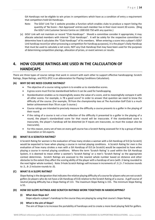GA Handicaps not be eligible to win prizes in competitions which have as a condition of entry a requirement that competitors hold GA Handicaps.

- Note: The GOLF Link Tier 1 website provides a function which enables clubs to produce a report listing the quantity of 'No Score – Not Approved' entries each member has in their most recent 20 scores. (Ring the GOLF Link Customer Service Centre on 1300 650 750 with any queries.)
- (v) GOLF Link will not maintain or record "Club Handicaps". Should a committee consider it appropriate, it may allocate selected members with internal "Club Handicaps". It will be solely for the respective committee to determine how it calculates the "Club Handicaps" of its members. When entering a score into a player's GOLF Link handicap record (or when processing a competition for handicap purposes), it is the player's Daily Handicap that must be used to calculate a net score, NOT any Club Handicap that may have been used for the purposes of determining competition placings, allocation of prizes, or event winners or results.

## <span id="page-13-0"></span>**4. HOW COURSE RATINGS ARE USED IN THE CALCULATION OF HANDICAPS**

There are three types of course ratings that work in concert with each other to support effective handicapping: Scratch Ratings, Slope Ratings, and PCCs (PCC is an abbreviation for Playing Conditions Calculation).

#### <span id="page-13-1"></span>**(A) WHY DO WE NEED COURSE RATINGS?**

- The objective of a course rating system is to enable us to standardise scores.
- A gross score must first be standardised before it can be used for handicapping.
- Standardisation enables us to meaningfully assess the value of a score, and to meaningfully compare it with all other scores. For example, is 78 a good score? In order to answer that question we need to know the difficulty of the course. (For example, 78 from the championship tees at The Australian Golf Club is a much better achievement than 78 on a par 3 course.)
- Course ratings are intended to precisely measure the difficulty a course presents to a golfer in the playing of their round.
- If the rating of a course is not a true reflection of the difficulty it presented to a golfer in the playing of a round, the player's standardised score for that round will be inaccurate. If the standardised score is inaccurate, the player's handicap will be distorted (ie if inputs are inaccurate, so must the output also be inaccurate).
- For this reason, every set of tees on every golf course has a Scratch Rating assessed for it by a group of State Association or GA experts.

#### <span id="page-13-2"></span>**(B) WHAT IS A SCRATCH RATING?**

A Scratch Rating for women is the evaluation of how many strokes a woman with a GA Handicap of 0.0 (ie Scratch) would be expected to have when playing a course in normal playing conditions. A Scratch Rating for men is the evaluation of how many strokes a man with a GA Handicap of 0.0 (ie Scratch) would be expected to have when playing a course in normal playing conditions. Where the term 'Scratch Rating' is used within the GA Handicap System, it is deemed to mean either a women's 'Scratch Rating' or a men's 'Scratch Rating' as the appropriate context determines. Scratch Ratings are assessed to the nearest whole number based on distance and other obstacles to the extent they affect the scoring ability of the player with a handicap of zero (with .5 being rounded to the next higher whole number). Note: 9-hole Scratch Ratings will increase in increments of .5 (.3-.7 inclusive rounds to .5, .8-.2 inclusive rounds to .0).

#### <span id="page-13-3"></span>**(C) WHAT IS A SLOPE RATING?**

Slope Rating is the designation that indicates the relative playing difficulty of a course for players who are not scratch golfers (ie players who do not have a GA Handicap of 0.0) relative to the Scratch Rating of a course. A golf course of neutral playing difficulty has a Slope Rating of 113. The maximum Slope Rating is 155. The minimum Slope Rating is 55.

#### <span id="page-13-4"></span>**(D) HOW DO SLOPE RATINGS AND SCRATCH RATINGS WORK TOGETHER IN HANDICAPPING?**

#### **(i) What does Slope do?**

Slope adjusts a player's handicap to the course they are playing by using that course's Slope Rating.

#### **(ii) What is the aim of Slope?**

The aim of Slope is to increase the portability of handicaps and to create a more level playing field for golfers.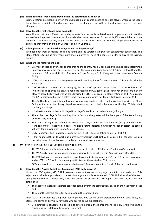#### **(iii) What does the Slope Rating provide that the Scratch Rating doesn't?**

Scratch Ratings are based solely on the challenge a golf course poses to an elite player, whereas the Slope Rating has factored into it the challenge posed to the elite player AS WELL as the challenge posed to the nonelite player.

#### **(iv) How does this make things more equitable?**

We all know that on a difficult course a high-marker's score tends to deteriorate to a greater extent than the score of an elite player. Just how much more is what Slope measures. For example, if Course A is harder than Course B, a high-marker may play off 28 on Course A and 24 on Course B. The elite player finds it easier to adjust, so they may play off 4 on Course A and 3 on Course B.

#### **(v) Is it important to have Scratch Ratings as well as Slope Ratings?**

We need both types of ratings. The Slope Rating and the Scratch Rating work in concert with each other. The Slope Rating is telling us how many more shots a player will need at a course in order to play to the Scratch Rating.

#### **(vi) What are the features of Slope?**

- Every set of tees on every golf course around the country has a Slope Rating which has been determined in accordance with the course rating system. The maximum Slope Rating is 155 (most difficult) and the minimum is 55 (least difficult). The Neutral Slope Rating is 113. Every set of tees also has a Scratch Rating.
- GOLF Link calculates a nationally-standardised handicap index for every player. This is called the GA Handicap.
- A GA Handicap is calculated by averaging the best 8 of a player's most recent 20 'Score Differentials' (which are all displayed in a player's handicap record on [www.golf.org.au\)](https://www.golf.org.au/). However, every score in every player's score history will first be standardised by GOLF Link against a Slope Rating of 113. As a result, the GA Handicap will reflect a golfer's ability on a course which has the neutral Slope Rating of 113.
- The GA Handicap is not intended for use as a playing handicap. It is used in conjunction with the Slope Rating of the set of tees being played to calculate a golfer's playing handicap for the day. This is called the Daily Handicap.
- It is the GA Handicap that is displayed in a player's handicap record on [www.golf.org.au.](http://www.golf.org.au/)
- The further the player's GA Handicap is from Scratch, the greater will be the impact of the Slope Rating on their Daily Handicap.
- The Scratch Rating is the number of strokes that a player with a Scratch handicap (ie a player with a GA Handicap of 0.0) is expected to have. The Slope Rating indicates how much harder or easier the course will play for a player who is not a Scratch Marker.
- **•** Daily Handicap = (GA Handicap x (Slope Rating  $\div$  113) + (Scratch Rating minus Par)) x 0.93
- If that sounds difficult to work out, don't worry because GOLF Link will calculate it all for you. GA also provides every club with easy-to-use Daily Handicap look-up posters.

#### <span id="page-14-0"></span>**(E) WHAT IS THE P.C.C. AND WHAT ROLE DOES IT PLAY?**

- The WHS features a statistical daily rating system. It is called PCC (Playing Conditions Calculation).
- The WHS daily rating formulas and regulations have been in full effect in Australia since May 2019.
- The PCC is displayed on your handicap record as an adjustment value (eg '+2' or '-1') rather than a value such as '68' or '72' which happened pre-WHS under the Australian DSR system.
- PCCs are permitted to range anywhere between -1 (ie easier conditions) and +3 (harder conditions).

#### **(i) How does the Playing Conditions Calculation (PCC) system work?**

Under the PCC system, GOLF Link assesses a current course rating adjustment for you each day. This adjustment value is appropriate to the conditions you actually experienced. GOLF Link does all of the work and provides the PCC immediately after the scores are processed. Through GOLF Link, the PCC system establishes:

- The expected average Stableford score for each player in the competition, based on their Daily Handicap; and
- The actual Stableford score for each player in the competition.

Then GOLF Link establishes the proportion of players who scored below expectation by one, two, three, etc Stableford points and similarly for those who scored above expectations.

Using statistical concepts, it is possible to determine from these proportions the likely level by which the conditions were different from what is normal.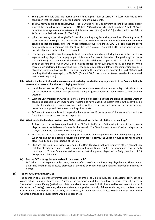- The greater the field size, the more likely it is that a given level of variation in scores will lead to the conclusion that the variation is beyond normal random movements.
- The PCC formulas are quite conservative the PCC value will only be different to zero if the scores clearly suggest then an adjustment is warranted. (18-hole PCCs will always be whole numbers. 9-hole PCCs are permitted to range anywhere between -0.5 (ie easier conditions) and +1.5 (harder conditions); 9-hole PCCs can have decimal values of '.0' or '.5'.)
- When processing scores through GOLF Link, the Handicapping Authority should link different groups of scores returned at a single club if it considers that these different groups of players have not encountered conditions that are clearly different. When different groups are linked, GOLF Link combines the score data to determine a common PCC for all of the linked groups. (Contact GOLF Link or your software provider if operational assistance is required.)
- If in the opinion of the Handicapping Authority, there is a clear change during the day to the conditions experienced by players in a single group (or it is typical for there to be a clear change during the day to the conditions), GA recommends that the field be split and that two separate PCCs be calculated. This is done by splitting the group in GOLF Link into 2 sub-groups (eg AM sub-group and PM sub-group). When this action is performed, the scores all stay in the correct competition datasets for competition and prize allocation purposes, however GOLF Link will handicap the morning players against an AM PCC and will handicap the PM players against a PM PCC. (Contact GOLF Link or your software provider if operational assistance is required.)

#### **(iii) What is the benefit of making an assessment each day on whether any adjustment of the Scratch Rating is warranted to account for abnormal playing conditions?**

- We all know that the difficulty of a golf course can vary substantially from day to day. Daily fluctuation can be caused by changed hole placements, varying green speeds & green firmness, and changed weather.
- With the vast majority of Australia's golfers playing in coastal cities that are prone to variable weather conditions, it is particularly important for Australia to have a handicap system that is sufficiently flexible to cater for daily movements in playing conditions. If we don't, we end up processing scores against inaccurate ratings, and that makes handicaps inaccurate.
- PCC leads to more stable and comparable handicaps than if the vagaries of fluctuations in conditions from day to day and season to season prevail.

#### **(iv) What role in the handicap system does PCC actually perform in the calculation of a handicap?**

- A player's gross score is compared against the PCC-adjusted Scratch Rating value in order to determine a player's 'Raw Score Differential' value for that round. (The 'Raw Score Differential' value is displayed in a player's handicap record on www.golf.org.au).
- PCCs are NOT used to retrospectively adjust the results of a competition that has already been played. When reading out competition results, if a player had 40 points, the Captain would announce that the player had 40 points (irrespective of the PCC).
- PCCs are NOT used to retrospectively adjust the Daily Handicap that a golfer played off in a competition that has already been played. When reading out competition results, if a player played off a Daily Handicap of 23, the Captain would announce that the player played off a Daily Handicap of 23 (irrespective of the PCC).

#### **(v) Can the PCC strategy be summarised in one paragraph?**

PCC helps to provide golfers with a rating that is a reflection of the conditions they played under. The formulas determine whether the difficulty presented at the time by the playing conditions was normal or different to normal.

#### <span id="page-15-0"></span>**(F) TEE UP AND PREFERRED LIES**

The operation at a club of the Preferred Lies local rule, or of the Tee Up local rule, does not automatically change a course rating. In most instances across Australia, the operation at a club of these local rules will essentially serve to 'normalise' course difficulty (ie the impact is to cancel out the increase in difficulty caused by heavy conditions or of decreased turf quality). However, where a club is operating either, or both, of these local rules, and it believes there is a resultant clear impact to the difficulty of the course, it should contact its State Association or GA to establish whether a change to a course rating would be appropriate.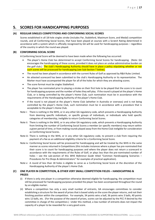## <span id="page-16-0"></span>**5. SCORES FOR HANDICAPPING PURPOSES**

#### <span id="page-16-1"></span>**(A) REGULAR SINGLES COMPETITIONS AND CONFORMING SOCIAL SCORES**

Scores established in all 18-hole singles stroke (includes Par, Stableford, Maximum Score, and Medal) competition rounds, and all Conforming Social Scores, that have been played at courses with a Scratch Rating determined in accordance with a system which is officially recognised by GA will be used for handicapping purposes – regardless of the country in which the round was played.

#### <span id="page-16-2"></span>**(B) CONFORMING SOCIAL SCORE**

A Conforming Social Score will be deemed to have been made when the following has occurred:

- The player's Home Club has determined to accept Conforming Social Scores for handicapping. (Note: GA encourages the handicapping of these scores, provided it does not place an undue administrative burden on the golf club.) The club's Handicapping Authority should have in place a policy stipulating whether or not such scores will be processed for handicapping (see Sub-Section T below).
- The round has been played in accordance with the current Rules of Golf as approved by R&A Rules Limited.
- An attested scorecard has been submitted to the club's Handicapping Authority or its representative. The Marker must have accompanied the player for all of the holes for which they are attesting scores.
- The score format must be singles Stableford.
- The player has nominated prior to playing a stroke on their first hole to be played that the score is to count for handicapping purposes and the number of holes they will play. If the round is played at the player's Home Club, or is being controlled by the player's Home Club, such nomination must be in accordance with the requirements of the Handicapping Authority of the player's Home Club.
- If the round is not played at the player's Home Club (whether in Australia or overseas) and is not being controlled by the player's Home Club, such nomination must be in accordance with a procedure that is acceptable to the player's Home Club.
- Note i: There is nothing in the WHS, or in any other GA regulatory code, which prevents a Handicapping Authority from deeming specific individuals, or specific groups of individuals, or individuals who hold specific categories of membership, ineligible to return Conforming Social Scores.
- Note ii: There is nothing in the WHS, or in any other GA regulatory code, which prevents a Handicapping Authority from limiting the number of Conforming Social Scores a member (or specific members) may return within a given period of time, or from making rounds played away from the Home Club ineligible for consideration as Conforming Social Scores.
- Note iii: There is nothing in the WHS, or in any other GA regulatory code, to prevent a club from requiring the payment of a fee as an additional eligibility criteria for a Conforming Social Score.
- Note iv: Conforming Social Scores will be processed for handicapping and will be treated by the WHS in the same manner as scores returned in Competitions (this includes instances where a player has pre-nominated that their score is to count for handicapping purposes and where the player does not return a scorecard in accordance with the requirements of the Rules of Golf, or plays less than the pre-nominated number of holes – see the sub-section of this *WHS Reference Guide* titled "Common Handicapping Scenarios – Procedures for Pro Shops & Administrators" for examples of practical application).
- Note v: A round of less than 18 holes is eligible to serve as a Conforming Social Score at the discretion of the Handicapping Authority of the player's Home Club.

#### <span id="page-16-3"></span>**(C) ONE PLAYER IN COMPETITION, & OTHER VERY SMALL COMPETITION FIELDS – HANDICAPPING & PRIZES**

- (i) If there is only one player in a competition otherwise deemed eligible for handicapping, the competition must still be processed for handicapping purposes provided the player has been accompanied throughout the round by an eligible marker.
- (ii) Where a competition has only a very small number of entrants, GA encourages committees to consider establishing a structure for the award of prizes that is based solely on the score the player returns, and not their finishing position within the competition. For example, 34 points wins a ball, 36 points wins 3 balls, 40 points wins 12 balls, etc. (For the purpose of the award of prizes, scores can be adjusted by the PCC if desired by the committee in charge of the competition.) Under this method, a low number of entrants does not impact the capacity of a player to be rewarded for a very good score.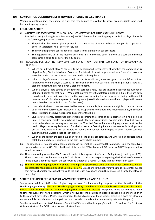#### <span id="page-17-0"></span>**(D) COMPETITION CONDITION LIMITS NUMBER OF CLUBS TO LESS THAN 14**

When a competition limits the number of clubs that may be used to less than 14, scores are not eligible to be used for handicapping purposes.

#### <span id="page-17-1"></span>**(E) FOUR-BALL SCORES**

- (i) WHEN TO USE SCORE OBTAINED IN FOUR-BALL COMPETITION FOR HANDICAPPING PURPOSES Four-ball scores (including from mixed events) SHOULD be used for handicapping an individual player but only if the following requirements are met:
	- The pair that the relevant player played in has a net score of at least 6 better than par (ie 42 points or better in Stableford, +6 or better in Par, etc).
	- The individual player's score appears at least 9 times on the four-ball scorecard.
	- The adjusted score (after the method described in (ii) below has been followed to create an individual scorecard) is equal to or better than 36 points.
- (ii) PROCEDURE FOR CREATING INDIVIDUAL SCORECARD FROM FOUR-BALL SCORECARD FOR HANDICAPPING PURPOSES:
	- Where an individual player's score is to be handicapped (irrespective of whether the competition is played as Par, Stroke, Maximum Score, or Stableford), it must be processed as a Stableford score in accordance with the procedures contained within this regulation.
	- When a player's score is not recorded on the four-ball card, they are given 1½ Stableford points. (Exception: When a player's score is not recorded on the four-ball card, and their partner's score is 1 Stableford point, the player is given 1 Stableford point.)
	- When a player's score counts on the four-ball card for a hole, they are given the appropriate number of Stableford points for that hole. (When both players have 0 Stableford points on a hole, they are both considered to have their score listed on the scorecard, including for the purposes of 'being on the card 9 times or more'. For the purposes of creating an adjusted individual scorecard, each player will have 0 points listed on the individual card for this hole.)
	- If two identical net scores are recorded by partners on a hole, both scores are eligible to be used on an adjusted individual scorecard. However, if the first player to hole out can be readily identified, the second player is deemed to have not recorded a score for that hole.
	- Clubs are to strongly discourage players from recording the scores of both partners on a hole or holes unless a concurrent singles event is being played. (If a concurrent singles event is being played, all scores must be handicapped as singles scores and the 'Four-ball Scores' handicapping regulation must not be used.) Players who regularly return four-ball scorecards featuring identical net scores for both players on the same hole will not be eligible to have these rounds handicapped – clubs should consider suspending the GA Handicaps of such players.
	- When all the gaps in the card have been filled in, the points are totalled, and where a half appears in the total, the points total is rounded to the next lower whole number.
- (iii) If an extended 18-hole individual score obtained via this method is processed through GOLF Link, the score type option to be chosen in GOLF Link by the administrator MUST be 'Four-ball' OR the score MUST be processed as an Ad Hoc score.
- (iv) The course rating value that GOLF Link will use for this purpose is the Scratch Rating (unadjusted by any PCC). These scores must not be used in any PCC calculation. In all other respects regarding the inclusion of the score in the player's handicap record, the score will be treated as a regular 18-hole singles competition score.
- (v) The club's Handicapping Authority should have in place a policy stipulating whether or not such scores will be processed for handicapping (see Sub-Section T below). Exceptions to the policy may be made to cater for events that have a character which is not typical to the club (such exceptions should be announced prior to the relevant day's play).

#### <span id="page-17-2"></span>**(F) SCORES RETURNED FROM PLAY OF ANYWHERE BETWEEN 8 AND 17 HOLES**

Scores returned from 8-17 holes of play may be used for handicapping purposes at the discretion of the Handicapping Authority. The club's Handicapping Authority should have in place a policy stipulating whether or not 9-hole scores will be processed for handicapping (see Sub-Section T below). Exceptions to the policy may be made to cater for events that have a character which is not typical to the club (such exceptions should be announced prior to the relevant day's play). (Note: GA encourages the handicapping of these scores, provided it does not place an undue administrative burden on the golf club, and provided there is not a clear novelty nature to the play.)

See the sub-section of this *WHS Reference Guide* titled "Common Handicapping Scenarios – Procedures for Pro Shops & Administrators" for GOLF Link score entry instructions.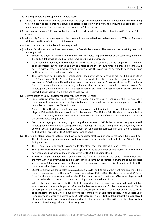The following conditions will apply to 8-17 hole scores:

- (i) Where 16-17 holes inclusive have been played, the player will be deemed to have had net par for the remaining holes (unless it is considered the player has discontinued play with a view to achieving a specific score for handicap purposes). The score will be processed as an 18-hole score.
- (ii) Scores returned over 8-15 holes will not be doubled or extended. They will be entered into GOLF Link as 9-hole scores.
- (iii) Where only 8 holes have been played, the player will be deemed to have had net par on the 9<sup>th</sup> hole. The score will be entered into GOLF Link as a 9-hole score.
- (iv) Any score of less than 8 holes will be disregarded.
- (v) Where 10-15 holes inclusive have been played, the first 9 holes played will be used and the remaining holes will be disregarded.
	- **EXECT** Should the player not have started from the 1<sup>st</sup> or 10<sup>th</sup> holes (as per the order on the scorecard), it is holes 1-9 or 10-18 that will be used, with the remainder being disregarded.
	- If the player has not played the complete  $1<sup>st</sup>$  nine holes on the scorecard OR the complete  $2<sup>nd</sup>$  nine holes on the scorecard, but has played as many as 8 holes of either of the two nines, it is those 8 holes that will be used, with all others being disregarded. In such a case, the player will be deemed to have had net par on the unplayed hole on the nine to be used.
	- The scores must not be used for handicapping if the player has not played as many as 8 holes of either the 1<sup>st</sup> nine holes OR the 2<sup>nd</sup> nine holes on the scorecard. Exception: If a club is regularly conducting events on an 8-14 hole configuration that does not include as many as 8 holes of either the  $1<sup>st</sup>$  nine holes OR the  $2<sup>nd</sup>$  nine holes on the scorecard, and where the club wishes to be able to use such scores for handicapping, it should contact its State Association or GA. The State Association or GA will provide a Scratch Rating that will enable the use of such scores.
- (vi) Determination of Daily Handicap for score returned over 8-17 holes
	- For a score returned over 16-17 holes on a course, a player's Daily Handicap is their 18-hole Daily Handicap for that course (note: the player is deemed to have net par for the hole not played, or for the two holes not played (see Clause i above)).
	- A player's Daily Handicap for a 9-hole score on a course is determined firstly by establishing what the player's 18-hole Daily Handicap would be for that course. The 18-hole Daily Handicap is then applied to the course's ordinary 18-hole Stroke Index to determine the number of strokes the player will receive on the specific holes being played.
	- Even if the player plays 8 holes, or plays anywhere between 10-15 holes inclusive, the player is still handicapped only on a 9-hole score (see Clause v above). As a result, if the player has played anywhere between 10-15 holes inclusive, the only interest for handicapping purposes is in what their handicap is and what their score is for the 9-holes being handicapped.

(vii) The step-by-step process for determining how many handicap strokes a player receives for a 9-hole round is:

- The 9-hole course option being used will have a Slope Rating number that looks like an 18-hole Slope Rating number.
- The 18-hole Daily Handicap the player would play off for that Slope Rating number is assessed.
- **•** The 18-hole Daily Handicap number is then applied to the Stroke Index on the scorecard to determine how many handicap strokes the player receives for the 9 holes being played.
- EXAMPLE 1: If Stroke Index holes 1 and 3 are on the front nine and the 9-hole round is being played over the front 9, then a player whose 18-hole Daily Handicap came out at 3 (after following the above process) would receive 2 handicap strokes for that nine. (The same player would receive 1 handicap stroke if the round was being played on the back nine.)
- EXAMPLE 2: If Stroke Index holes  $1,3,5,7,9,11,13,15,17,19$ , and 21 are on the front nine and the 9-hole round is being played over the front 9, then a player whose 18-hole Daily Handicap came out at 21 (after following the above process) would receive 11 handicap strokes for that nine. (The same player would receive 10 handicap strokes if the round was being played on the back nine.)
- When entering a 9-hole score into GOLF Link, it is important that the above process be followed, and that what is entered is the 9-hole 'played off' value that has been calculated for the player as a result. This is because part of the process GOLF Link will automatically perform when it combines two 9-hole scores is to add together the two 9-hole 'played off' values from the two 9-hole score entries. (If an 18-hole Daily Handicap value is wrongly entered with a 9-hole score entry, GOLF Link will think that the player played off a handicap which was twice as large as what it actually was – and that will credit the player with a score that is twice as good as what it actually was.)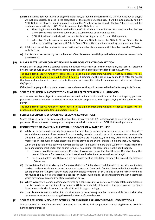- (viii)The first time a player returns an eligible 9-hole score, it should be entered into GOLF Link on the day of play; it will not immediately be used in the calculation of the player's GA Handicap. It will be automatically held by GOLF Link in the player's handicap record until another 9-hole score is entered. The two 9-hole scores will be combined automatically by GOLF Link to create a single 18-hole score.
	- The rating for each 9 holes is retained in the GOLF Link database, so it does not matter whether the two 9-hole scores to be combined come from the same course or different courses.
	- GOLF Link will automatically add the two 9-hole scores together to form an 18-hole score.
	- When two 9-hole scores are combined to form an 18-hole score, the 18-hole 'Score Differential' is achieved by adding together both 9-hole 'Score Differentials', and then rounding to one decimal place.
- (ix) A 9-hole score will be retained for combination with another 9-hole score until it is older than the  $20^{th}$  oldest 18-hole score.
- (x) An 18-hole score created by the combination of two 9-hole scores will display the date and course name of both 9-hole scores.

#### <span id="page-19-0"></span>**(G) PLAYER PLAYS WITHIN COMPETITION FIELD BUT DOESN'T ENTER COMPETITION**

When a person plays within a competition field, but does not actually enter the competition, their score, if attested by a marker, should be used for handicapping purposes at the discretion of the Handicapping Authority.

The club's Handicapping Authority should have in place a policy stipulating whether or not such scores will be processed for handicapping (see Sub-Section T below). Exceptions to the policy may be made to cater for events that have a character which is not typical to the club (such exceptions should be announced prior to the relevant day's play).

If the Handicapping Authority determines to use such scores, they will be deemed to be Conforming Social Scores.

#### <span id="page-19-1"></span>**(H) SCORES RETURNED IN A COMPETITION THAT HAS BEEN DECLARED NULL AND VOID**

A score returned by a player in a competition declared null and void should be used for handicapping purposes provided course or weather conditions have not notably compromised the proper playing of the game for that player.

The club's Handicapping Authority should have in place a policy stipulating whether or not such scores will be processed for handicapping (see Sub-Section T below).

#### <span id="page-19-2"></span>**(I) SCORES RETURNED IN OPEN OR PROFESSIONAL COMPETITIONS**

Scores returned in Open or Professional competitions by players with GA Handicaps will be used for handicapping purposes. All such players to have played in a given round will be entered into GOLF Link in a single batch.

#### <span id="page-19-3"></span>**(J) REQUIREMENT TO MAINTAIN THE OVERALL DISTANCE OF A RATED COURSE**

(i) Whilst a course should generally be played at its rated length, a club does have a large degree of flexibility around the movement of tee markers from day to day provided overall course distance remains substantially the same. Where unusual weather or course conditions are in evidence, a club may wish to set the daily tee markers such that overall course distance is altered provided the overall change is no more than 100 metres.

When the position of the daily tee markers on the course played are more than 100 metres overall from the permanent rating markers for that course for an 18-hole round, the scores must not be handicapped.

- If on one hole the tee markers are 15 metres forward and on another hole they are 10 metres back, the overall difference for these two holes is considered to be 5 metres from the rated length.
- For a round of less than 18 holes, a pro rata length must be calculated; eg for a 9-hole round, the distance is 50 metres.
- (ii) Unless determined otherwise by the State Association or GA, handicap conditions do not prevail when the tee markers, under normal circumstances, are placed more than 20 metres in front or 20 metres behind the relevant set of permanent rating markers on more than three holes for rounds of 14-18 holes, or on more than two holes for rounds of 8-13 holes. (An exception applies for courses with cyclical permanent rating marker placements which have been approved by a State Association or GA.)
- (iii) Where average tee marker placement over time on a course results in an effective average total course distance that is considered by the State Association or GA to be materially different to the rated course, the State Association or GA should amend the official Scratch Rating accordingly.
- (iv) Hole placements are not taken into consideration in determining whether or not a club has satisfied the requirements around maintaining the overall distance of a rated course.

#### <span id="page-19-4"></span>**(K) SCORES RETURNED IN NOVELTY EVENTS SUCH AS BISQUE PAR AND THREE-BALL COMPETITIONS**

Scores returned in novelty events such as Bisque Par and Three-Ball competitions are not eligible to be used for handicapping purposes.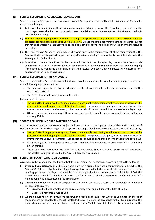#### <span id="page-20-0"></span>**(L) SCORES RETURNED IN AGGREGATE TEAMS EVENTS**

Scores returned in Aggregate Teams Events (eg Two-ball Aggregate and Two-Ball Multiplier competitions) should be used for handicapping.

- (i) To be used for handicapping, these events must require each player to play their own ball on each hole until it is no longer reasonable for them to record at least 1 Stableford point. It is each player's individual score that is used for handicapping.
- (ii) The club's Handicapping Authority should have in place a policy stipulating whether or not such scores will be processed for handicapping (see Sub-Section T below). Exceptions to the policy may be made to cater for events that have a character which is not typical to the club (such exceptions should be announced prior to the relevant day's play).
- (iii) The Handicapping Authority should advise all players prior to the commencement of the competition that the Rules of singles stroke play will apply – with specific attention being drawn to the Advice Rule and also to the Rule regarding Order of Play.
- (iv) From time to time a committee may be concerned that the Rules of singles play may not have been strictly adhered to. In such a case, the competition should only be disqualified from being processed for handicapping if the committee makes the determination that the results have been clearly impacted by widespread nonadherence to the Rules of singles play.

#### <span id="page-20-1"></span>**(M) SCORES RETURNED IN PRO-AM EVENTS**

Scores returned in Pro-Am events may, at the discretion of the committee, be used for handicapping provided one of the following requirements is met:

- The Rules of singles stroke play are adhered to and each player's hole-by-hole scores are recorded on the submitted scorecard.
- The Rules of four-ball stroke play are adhered to.

Further points to note:

- The club's Handicapping Authority should have in place a policy stipulating whether or not such scores will be processed for handicapping (see Sub-Section T below). Exceptions to the policy may be made to cater for events that are unusual in character (such exceptions should be announced prior to the relevant day's play).
- GA encourages the handicapping of these scores, provided it does not place an undue administrative burden on the golf club.

#### <span id="page-20-2"></span>**(N) SCORES RETURNED IN CORPORATE/TRADE DAYS**

A score returned in a corporate/trade day (or the like) competition round played in accordance with the Rules of Golf, may be used for handicapping – including when the competition has been conducted by an unaffiliated entity.

- The club's Handicapping Authority should have in place a policy stipulating whether or not such scores will be processed for handicapping (see Sub-Section T below). Exceptions to the policy may be made to cater for events that are unusual in character (such exceptions should be announced prior to the relevant day's play).
- GA encourages the handicapping of these scores, provided it does not place an undue administrative burden on the golf club.
- These scores must be entered into GOLF Link as Ad Hoc scores. They must not be used in any PCC calculation. The Scratch Rating will be used in the 'Score Differential' calculation.

#### <span id="page-20-3"></span>**(O) SCORE FOR PLAYER WHO IS DISQUALIFIED**

A round must be played under the Rules of Golf to be acceptable for handicap purposes, subject to the following:

- (i) **Organized Competitions.** In a situation where a player is disqualified from a competition for a breach of the Rules of Golf, but no significant scoring advantage has been gained, the score should remain acceptable for handicap purposes. If a player is disqualified from a competition for any other breach of the Rules of Golf, the score is not acceptable for handicap purposes. The final determination is at the discretion of the Home Club's Handicapping Authority, based on the circumstances.
- (ii) **General Play.** When an organized competition is not being contested, a score is not acceptable for handicap purposes if the player:
	- Breaches the Rules of Golf and the correct penalty is not applied under the Rules of Golf, or
	- Deliberately ignores a Rule of Golf.
- (iii) Where a player follows the provisions set down in a Model Local Rule, even when the Committee in charge of the course has not adopted that Model Local Rule, the score may still be acceptable for handicap purposes. The same situation applies where a player is in breach of a Model Local Rule that has been adopted by the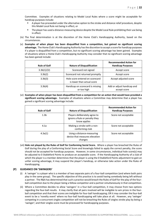Committee. Examples of situations relating to Model Local Rules where a score might be acceptable for handicap purposes include:

- A player has proceeded under the alternative option to the stroke and distance relief procedure, despite this Model Local Rule not being in effect, or
- The player has used a distance-measuring device despite the Model Local Rule prohibiting their use being in effect.
- (iv) The final determination is at the discretion of the Home Club's Handicapping Authority, based on the circumstances.
- (v) **Examples of when player has been disqualified from a competition, but gained no significant scoring advantage.** The Home Club's Handicapping Authority has the discretion to accept a score for handicap purposes if a player is disqualified from a competition, but no significant scoring advantage has been gained. Examples of situations where a Home Club's Handicapping Authority may consider that no significant scoring advantage has been gained include:

| <b>Rule of Golf</b> | <b>Nature of Disqualification</b>                             | <b>Recommended Action for</b><br><b>Handicap Purposes</b> |
|---------------------|---------------------------------------------------------------|-----------------------------------------------------------|
| 3.3b(1)/(2)         | Scorecard not signed                                          | Accept score                                              |
| 3.3b(2)             | Scorecard not returned promptly                               | Accept score                                              |
| 3.3b(3)             | Hole score entered on scorecard<br>is lower than actual score | Accept adjusted score                                     |
| 3.3b(4)             | Handicap on scorecard is missing<br>or too high               | Add or adjust handicap and<br>accept score                |

(vi) **Examples of when player has been disqualified from a competition for an action that would have provided a significant scoring advantage.** Examples of situations where a Committee may determine that a player has gained a significant scoring advantage include:

| <b>Rule of Golf</b> | <b>Nature of Disqualification</b>                                              | <b>Recommended Action for</b><br><b>Handicap Purposes</b> |
|---------------------|--------------------------------------------------------------------------------|-----------------------------------------------------------|
| 1.3 <sub>b</sub>    | Players deliberately agree to<br>ignore a Rule or penalty they<br>know applies | Score not acceptable                                      |
| 4.1a                | Making a stroke with a non-<br>conforming club                                 | Score not acceptable                                      |
| 4.3a(1)             | Using a distance-measuring<br>device that measures elevation<br>changes        | Score not acceptable                                      |

(vii) **Hole not played by the Rules of Golf for Conforming Social Score.** Where a player has breached the Rules of Golf during the play of a Conforming Social Score and knowingly failed to apply the correct penalty, the score should not be accepted for handicap purposes. However, in some circumstances, individual hole score(s) may be adjusted to 0 Stableford Points to produce an acceptable score. If the Handicapping Authority of a club of which the player is a member determines that the player is using the 0 Stableford Points adjustment to gain an unfair scoring advantage, it may suspend the player's handicap, or otherwise take action under the Rules of Handicapping.

#### <span id="page-21-0"></span>**(P) GUIDANCE ON 'SWINGERS'**

- (i) A 'swinger' is a player who is a member of two separate pairs of a four-ball competition (and where both pairs play in the same group). The specific objective of this practice is to avoid having somebody being left without a partner. The R&A has determined that such a practice would breach the Rules of Golf for the play of the fourball competition due to the player being a fellow-competitor and a partner simultaneously in that competition.
- (ii) Where a Committee decides to allow 'swingers' in a four-ball competition, it may choose from two options regarding the four-ball results. It may clarify that all pairs involved will be ineligible to win prizes in the fourball competition and that their scores are ineligible for four-ball handicapping; OR it may consider the four-ball event to be a 'novelty event' where no four-ball handicapping will take place at all. However, any 'swinger' competing in a concurrent singles competition will not be breaching the Rules of singles stroke play by being a 'swinger'; and their singles score must be processed for handicapping purposes.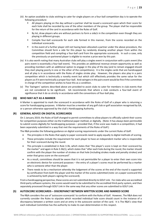- (iii) An option available to clubs wishing to cater for single players on a four-ball competition day is to operate the following procedure:
	- All players playing on the day without a partner shall be issued a scorecard upon which their score for each hole shall be recorded by one of the other members of the group. The player shall be responsible for the return of the card in accordance with the Rules of Golf.
	- By lot, draw players who are without partners to form a side/s in the competition even though they are playing in different groups.
	- Compile four-ball scorecards for each side formed in this manner, from the scores recorded on the individual scorecards.
	- In the event of a further player still not having been allocated a partner under the above procedure, the Committee should form a side for this player by randomly drawing another player from within the competition field and compiling a four-ball card from the appropriate scorecards. In such a case, only the previously un-partnered player is eligible to receive a prize won by this pair.
- (iv) It is also worth noting that many Australian clubs will play a singles event in conjunction with a pairs event (the pairs event is essentially a four-ball event). This provides an additional revenue stream opportunity as well as providing members with an additional option to engage in the play of the day (and to remain engaged should they start playing poorly in one or the other of the competitions). It is the singles cards that are handicapped and all play is in accordance with the Rules of singles stroke play. However, the players also play in a pairs competition which is technically a novelty event but which still effectively provides the same value for the players as if it were technically a proper four-ball. And swingers in the pairs event would be fine if the committee in charge of the competition wishes to have this as a condition.
- (v) The 'Swingers' options described above are provided to assist clubs to cater for members in club events that are not considered to be significant. GA recommends that where a club conducts a four-ball event of significance that it do so strictly in accordance with the conventions of four-ball play.

#### <span id="page-22-0"></span>**(Q) WHO MAY ACT AS A MARKER**

A Marker is appointed to mark the scorecard in accordance with the Rules of Golf of a player who is returning a score for handicapping purposes. A Marker must be a member of any golf club or golf association recognised by GA, or a person otherwise approved by the club's Handicapping Authority.

#### <span id="page-22-1"></span>**(R) GENERAL ADVICE ON DIGITAL SCORECARDS**

On 1 January 2019, the Rules of Golf changed to permit committees to allow players to officially submit their scores for competition purposes either via the traditional paper method, or digitally. (Note: It has always been permissible to submit scores digitally for handicapping purposes – provided that, if the score was made in a competition, it had been separately submitted in a way that met the requirements of the Rules of Golf.)

The R&A provides the following guidance on digital scoring requirements under the current Rules of Golf:

- The principles in the Rules that apply to paper scorecards need to apply equally to digital methods of scoring.
- These principles include the requirement for each player to have an independent marker who is responsible for their scorecard during the round.
- This principle is established in Rule 3.3b, which states that "the player's score is kept on their scorecard by the marker" and again in Rule 3.3b(1), which states that "after each hole during the round, the marker should confirm with the player the number of strokes on that hole (including strokes made and penalty strokes) and enter that gross score on the scorecard".
- As a result, committees should be aware that it is not permissible for a player to enter their own score into an electronic device for scorecard purposes – the entry of a player's scores must be performed by a marker who is someone other than the player.
- There needs to be a mechanism whereby the lodgement of the scores at the end of the round is supported by certification from both the player and the marker of the scores submitted (note: on a paper scorecard this is achieved by both players signing the scorecard).

From a handicapping perspective, these scores are not submitted directly to GOLF Link. For clubs who use accredited third-party software systems, the scores would need to be submitted to the accredited third-party system, and then separately processed through GOLF Link in the same way that any other scores are submitted to GOLF Link.

#### <span id="page-22-2"></span>**(S) AUTOSCORE SCORECARDS – DISCREPANCY BETWEEN WRITTEN SCORE AND MARKED SCORE**

The R&A considers the use of 'autoscore scorecards' to conform with the Rules of Golf. However, The R&A does not currently consider the Rules to stipulate which recorded individual hole score should count in the instance of a discrepancy between a written score and an entry in the autoscore section of the card. It is The R&A's view that each individual Committee has the authority to make its own determination in this respect.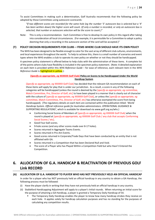To assist Committees in making such a determination, Golf Australia recommends that the following policy be adopted by those Committees using autoscore scorecards:

*"If two different scores are recorded for the same hole (eg the number '5' autoscore box is selected but a '4' has been written down) the higher score will count. (If only a number is recorded, or only an autoscore box is selected, that number or autoscore selection will be the score to count.)"*

Note: This is only a recommendation. Each Committee is free to develop its own policy in this regard after taking into consideration all local circumstances. (For example, it is permissible for a Committee to adopt a policy deeming that only a recording in the autoscore section of the card will be accepted.)"

#### <span id="page-23-0"></span>**(T) POLICY DECISION REQUIREMENTS FOR CLUBS – ITEMS WHERE CLUB SHOULD HAVE ITS OWN POLICY**

The WHS has been designed to be flexible enough to cater for the vast array of different club cultures, environments, and local experiences throughout the world. To help to achieve this, there is a small number of scenarios and event types where the WHS enables a club to operate its own policy on whether or not they should be handicapped.

A specimen policy statement is offered below to help clubs with the administration of these items. A complete list of the points where clubs have flexibility is included in the specimen policy statement. (Note: A detailed explanation on each item is provided within this *WHS Reference Guide* – for ease of reference, each relevant item in the *WHS Reference Guide* is highlighted in yellow.):

#### **[***Specify as appropriate, eg* **XXXXXX Golf Club] Policy on Scores to be Handicapped Under the World Handicap System**

[*Specify as appropriate, eg* XXXXXX Golf Club] has decided that the relevant GA recommendation on each of these items will apply for play that is under our jurisdiction. As a result, a score in any of the following categories will be handicapped (unless the round is deemed by the [*specify as appropriate, eg* committee, Match Committee, Pro, Director of Golf, etc] to have been played in a manner that is clearly out of character with the culture of [*specify as appropriate, eg* XXXXXX Golf Club], or unless the [*specify as appropriate, eg* committee, Match Committee, Pro, Director of Golf, etc] has otherwise exempted the score from being handicapped). (The regulatory details on each item are contained within the publication titled: *'World Handicap System. Official reference guide for Australian administrators. OPERATIONAL GUIDANCE & SUPPORTING REGULATIONS'*, which is available for download via www.golf.org.au/whs.)

- Conforming Social Scores of Members of [*specify as appropriate, eg* XXXXXX Golf Club] when the round is played at [*specify as appropriate, eg* XXXXXX Golf Club / any club that accepts Conforming Social Scores / etc].
- Good Four-ball scores.
- 9-hole scores (and any other scores made over 8-17 holes).
- Scores returned in Aggregate Teams Events.
- Scores returned in Pro-Am Events.
- Good scores returned in Corporate/Trade Days that have been conducted by an entity that is not affiliated with GA.
- Scores returned in a Competition that has been Declared Null and Void.
- The score of a Player who has Played Within a Competition Field but who Hasn't Entered the Competition.

## <span id="page-23-1"></span>**6. ALLOCATION OF G.A. HANDICAP & REACTIVATION OF PREVIOUS GOLF Link RECORD**

#### <span id="page-23-2"></span>**(A) ALLOCATION OF G.A. HANDICAP TO PLAYER WHO HAS NOT PREVIOUSLY HELD AN OFFICIAL HANDICAP**

In order for a player who has NOT previously held an official handicap in any country to obtain a GA Handicap, the following process must be followed:

- (i) Have the player clarify in writing that they have not previously held an official handicap in any country.
- (ii) Stableford Handicapping Adjustment will apply to a player's Initial rounds. When returning an Initial score for the purpose of attaining a GA Handicap, a player is granted a Temporary Daily Handicap of 54.
	- The Temporary Daily Handicap enables the player to know how many handicap strokes they receive on each hole. It applies solely for handicap calculation purposes and has no standing for the purposes of calculating any competition results.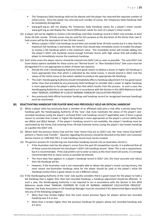- **■** The Temporary Daily Handicap shall not be altered until the player has returned the requisite number of initial scores. Once the player has returned such number of scores, the Temporary Daily Handicap shall be completely disregarded.
- www.golf.org.au will not display the Temporary Daily Handicap values for a player's Initial rounds. www.golf.org.au will display the 'Score Differential' values for each of a player's Initial rounds.
- (iii) A player will not be eligible to receive a GA Handicap until their handicap record in GOLF Link includes at least three 18-hole rounds. (9-hole scores may be used for this purpose at the discretion of the Home Club; two 9 hole scores will be the equivalent of one 18-hole round.)
	- Where a player's GOLF Link handicap record does not include three 18-hole rounds but it is clear that the maximum GA Handicap is warranted, the Home Club should take immediate action to enable the player to receive a GA Handicap which is the maximum value. This immediate action will include adding into the player's GOLF Link handicap record enough Estimate Scores with high values that will enable the player to immediately receive the maximum handicap.
- (iv) Each Initial score the player returns should be entered into GOLF Link as soon as possible. The only GOLF Link Score Status options available for these scores are "Normal Score" or "Non-Standard Entry" (the score must be disregarded if it is not appropriate to either of these two options).
	- Should the club's Handicapping Authority have good reason to believe a lesser or higher GA Handicap is more appropriate than that which is indicated by the Initial scores, it should amend in GOLF Link the values of the Initial scores to the extent needed to produce the appropriate GA Handicap.
	- The club's Handicapping Authority should immediately effect a handicap adjustment if it has good reason (other than that provided by any previously-held handicap) to consider that a lower or higher handicap is more appropriate to the player's ability than that which results from this process. In such a case, the Handicapping Authority is not required to act in accordance with the Section in this *WHS Reference Guide* titled "MANUAL OVERRIDE BY CLUB OF NORMAL HANDICAP CALCULATION PROCESS".
	- Any previously-held official Australian handicap and handicap record (or recognised overseas handicap) must be reactivated.

#### <span id="page-24-0"></span>**(B) REACTIVATING HANDICAP FOR PLAYER WHO HAS PREVIOUSLY HELD AN OFFICIAL HANDICAP**

- (i) When a player (who has previously been a member of an affiliated club) joins a club after a period away from handicap golf, the Handicapping Authority of the 'new' club must reactivate the status of the player's lastrecorded handicap (using the player's archived GOLF Link handicap record if applicable) even if there is good reason to consider that a lower or higher GA Handicap is more appropriate to the player's current ability (but see (B)(iv) and (B)(v) below). If the player's handicap record is not available, the player's handicap must be reactivated by the Home Club entering three 18-hole Estimate Scores (using the player's last-known handicap as a guide) into GOLF Link.
- (ii) Where both the previous Home Club and the 'new' Home Club are on GOLF Link, the 'new' Home Club MUST perform a 'Home Club Transfer'. (Queries regarding this process should be directed to the GOLF Link Customer Service Centre on 1300 650 750.) A new handicap record must not be created.
- (iii) The generic process for transferring non-Australian handicap records into an Australian record is:
	- If the Australian club has the player's scores from the past 20 competition rounds, it is preferred that all of these scores be entered into the player's GOLF Link handicap record. Note: This is not a requirement, but it is recommended. If the club prefers not to enter as many as the most recent 20 scores, it is strongly recommended that as many scores as possible be entered.
	- The more data that appears in a player's handicap record in GOLF Link, the more accurate and robust their GA Handicap will be.
	- However, if the Australian club is not reasonably able to obtain the player's recent scoring history, the most recent non-Australian handicap value for the player should be used as the player's initial GA Handicap (unless there is good reason to use a different value).
- (iv) If the Handicapping Authority of the 'new' club quickly considers there is good reason for the player to hold a GA Handicap that is higher than their last recorded handicap, a handicap adjustment should be effected. In such a case, the Handicapping Authority is not required to act in accordance with the Section in this *WHS Reference Guide* titled "MANUAL OVERRIDE BY CLUB OF NORMAL HANDICAP CALCULATION PROCESS". However, the State Association or GA Handicap Manager must be consulted if the determined figure would fall into any of the following categories:
	- More than two strokes higher than the most recent previous figure for players whose last recorded handicap was 4.4 or less.
	- More than 3 strokes higher than the previous handicap for players whose last recorded handicap was 4.5-10.4.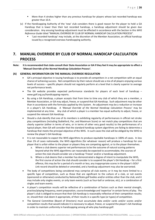- More than 4 strokes higher than any previous handicap for players whose last recorded handicap was greater than 10.4.
- (v) If the Handicapping Authority of the 'new' club considers there is good reason for the player to hold a GA Handicap that is lower than their last recorded handicap, a handicap adjustment should be given due consideration. Any ensuing handicap adjustment must be effected in accordance with the Section in this *WHS Reference Guide* titled "MANUAL OVERRIDE BY CLUB OF NORMAL HANDICAP CALCULATION PROCESS".
	- 'Last recorded handicap' may include, at the discretion of the Member Association, an official handicap issued by a recognised overseas handicapping authority.

## <span id="page-25-0"></span>**7. MANUAL OVERRIDE BY CLUB OF NORMAL HANDICAP CALCULATION PROCESS**

**Note: It is recommended that clubs consult their State Association or GA if they feel it may be appropriate to effect a**  *'Manual Override of the Normal Handicap Calculation Process'***.**

#### <span id="page-25-1"></span>**(A) GENERAL INFORMATION ON THE MANUAL OVERRIDE REGULATION**

- GA's principal objective in issuing handicaps is to provide all competitors in a net competition with an equal chance of achieving success. Net competitions by their nature should see a mix of all players enjoying various levels of success – specific players should not regularly perform at a level that is clearly superior to average net performance levels.
- The GA website provides expected performance standards for players of each level of handicap  $$ [www.golf.org.au/handicapping-reports.](http://www.golf.org.au/handicapping-reports)
- By using a GA Handicap, a player accepts that from time to time any club of which they are a member, a Member Association, or GA may adjust, freeze, or suspend that GA Handicap. Such adjustment may be other than in accordance with the formulas applied by this System. An adjustment may be a reduction or increase in a player's GA Handicap. A *'Manual Override of the Normal Handicap Calculation Process'* may be implemented at any time. Any club of which a player is a member has equal authority to adjust, freeze, or suspend the relevant GA Handicap.
- Should a club identify that one of its members is exhibiting regularity of performances in official net stroke play competitions (including Stableford, Par, and Maximum Score) or net match play competitions that are clearly superior (either in terms of wins, or in terms of other very good results) to the performances of a typical player, then GA will consider that the standard handicap system algorithms are failing to determine a handicap that meets the principal objective of the WHS. In such cases the club will be obliged by the WHS to review the player's GA Handicap.
- It is not reasonable to expect the WHS algorithms to produce equitable handicaps in 100% of cases. In less than 1% of cases nationwide, the WHS algorithms (for whatever reason) will produce a handicap for one player that is unfair either to the player or players they are competing against, or to the player themselves.
	- a. Where a club deems superior net performances to be the outcome of natural scoring patterns beyond what the WHS algorithms can reasonably be expected to accommodate, the courses of action the club should consider are a handicap 'Freeze' and/or a handicap adjustment.
	- b. Where a club deems that a member has demonstrated a degree of intent to manipulate the WHS, the first course of action the club should consider is to suspend the player's GA Handicap – for a first offence, this may be for a period of a month or less; any inappropriate scores in the player's GOLF Link record should be deleted or amended, and a handicap adjustment may also be warranted.
- The body of competitions being considered may comprise all club events; or it may be more limited to a specific type of competition, such as those that are significant to the culture of a club, or net events (sponsored or otherwise) conducted by National/State golf bodies and/or entities other than the club; and it may include only singles events, or only team events (such as four-ball or ambrose, etc), or a combination of singles and team events.
- A player's competition results will be reflective of a combination of factors such as their mental strength, practice/playing frequency, event preparation, course knowledge and 'expertise' in certain forms of play. The player's club is obliged to ensure that their GA Handicap is reasonably reflective of their competition results; or, should their club deem it appropriate, of their results in a specific type (or types) of competition.
- The General Committee (Board of Directors) must accumulate data and/or cards and/or scores and/or competition results that would indicate it is necessary to adjust, freeze, or suspend the player's GA Handicap in order to maintain uniformity in handicapping among all who play handicap golf.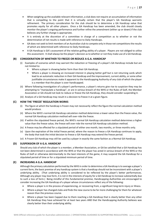- When weighing up the available relevant information, a club does not require an accumulation of information that is compelling to the point that it is virtually certain that the player's GA Handicap warrants refinement. The primary consideration for the club should be to determine a GA Handicap value that promotes equity for all other players. Once a GA Handicap has been amended, the club should closely monitor the player's ongoing performance and further refine the amendment (either up or down) if the club believes any further change is appropriate.
- It is entirely at the discretion of a committee in charge of a competition as to whether or not the determination of net results is made with reference to Daily Handicaps.
- GA does not seek to limit members of an Australian club to compete only in those net competitions the results of which are determined with reference to Daily Handicaps.
- A GA Handicap is GA's assessment of the relative golfing ability of a player. Players are not obliged to utilise this assessment. It shall always be the player's decision as to whether or not they make use of a GA Handicap.

#### <span id="page-26-0"></span>**(B) CONSIDERATION OF WHETHER TO FREEZE OR REDUCE A G.A. HANDICAP**

- (i) Examples of scenarios which may warrant the reduction or freezing of a player's GA Handicap include but are not limited to:
	- Where a player is showing better form than their GA Handicap.
	- Where a player is showing an increased interest in playing better golf but is not returning cards which lead to an automatic reduction in their GA Handicap and the improvement, current ability, or some other justifiable circumstances make it apparent to the Handicapping Authority of any club of which the player is a member that the player is over-handicapped.
- (ii) Where following investigation of a player's performance, a player's returns give rise to suspicion they may be attempting to "manipulate a handicap", or are in serious breach of the WHS or the Rules of Golf, the Member Association or GA should not look to reduce or freeze the GA Handicap, they should consider suspending it.
- (iii) Analysis of a GA Handicap may result in a decision to freeze it at a given figure.

#### <span id="page-26-1"></span>**(C) HOW THE 'FREEZE' REGULATION WORKS**

- (i) The figure at which the handicap is frozen may not necessarily reflect the figure the normal calculation method would produce.
- (ii) Where the WHS's normal GA Handicap calculation method determines a lower value than the freeze value, the normal GA Handicap calculation method will over-ride the freeze.
- (iii) If within the stipulated freeze period, the WHS's normal GA Handicap calculation method determines a higher value than the freeze value, the freeze will over-ride the normal GA Handicap calculation method.
- (iv) A freeze may be effected for a stipulated period of either one month, two months, or three months only.
- (v) Upon the expiration of the initial freeze period, where the reason to freeze a GA Handicap continues to apply, the body that took the initial decision to freeze a GA Handicap may extend the freeze period.
- (vi) A Frozen GA Handicap may still be used by a player in exactly the same fashion as a Normal GA Handicap.

#### <span id="page-26-2"></span>**(D) SUSPENSION OF A G.A. HANDICAP**

Should any club of which the player is a member, a Member Association, or GA be satisfied that a GA Handicap has not been determined in accordance with the WHS or that the player has acted in serious breach of the WHS or the Rules of Golf or otherwise detrimentally to the best interests of the game, it may suspend the GA Handicap for a stipulated period of time or for a stipulated minimum period of time.

#### <span id="page-26-3"></span>**(E) INCREASING A G.A. HANDICAP**

Although the primary calculation performed by the WHS in order to determine a GA Handicap is to average a player's current form, the basic premise of any handicap system is that a handicap should not be inconsistent with a player's underlying ability. (That underlying ability is considered to be reflected by the player's better performances. Although any player may lose form, it is not in the interests of equity for a GA Handicap to increase substantially due to such a loss of form.) Being mindful of this fundamental premise, Handicapping Authorities are encouraged to consider increasing the GA Handicap of a player whose circumstances reflect any of the following:

- Where a player is in the process of experiencing, or recovering from, a significant long-term injury or illness.
- Where a player has changed clubs and finds the new course to be far more challenging for them for whatever reason than the previous course.
- Where a player has been Capped due to them reaching a GA Handicap that is clearly better than any other GA Handicap they have achieved for at least two years AND that the Handicapping Authority believes was clearly better than their underlying ability.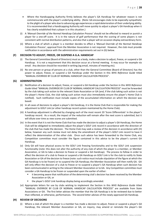- Where the Handicapping Authority firmly believes the player's GA Handicap for whatever reason is not commensurate with the player's underlying ability. (Note: GA encourages clubs to be especially sympathetic to the plight of a player who due to advancing age experiences a rapid deterioration of their underlying ability. It is recommended that a Handicapping Authority will move quickly to adjust a player's GA Handicap when it has clearly established that a player is in this situation.)
- (i) A *'Manual Override of the Normal Handicap Calculation Process'* should not be effected to reward or punish a player for a one-off score. It is in the nature of golf performance that the scoring of some players is not consistent with normal distribution patterns, and also that a player will on occasion display extraordinary form.
- (ii) Where a club of which a player is a member decides to effect a *'Manual Override of the Normal Handicap Calculation Process'*, approval from the Member Association is not required. However, the club must provide notification in accordance with the administration requirements set out in (G) below.

#### <span id="page-27-0"></span>**(F) DECISION TO ADJUST, FREEZE, OR SUSPEND A G.A. HANDICAP**

- (i) The General Committee (Board of Directors) must as a body, make a decision to adjust, freeze, or suspend a GA Handicap. It is not a requirement that this decision occur at a formal meeting. It may occur for example via email. Any decision should be recorded in writing (eg email, minutes of meeting etc).
- (ii) No one person or group of persons at a club, other than the General Committee (Board of Directors) has the power to adjust, freeze, or suspend a GA Handicap under the Section in this *WHS Reference Guide* titled "MANUAL OVERRIDE BY CLUB OF NORMAL HANDICAP CALCULATION PROCESS".

#### <span id="page-27-1"></span>**(G) ADMINISTRATION**

- (i) Notification of a decision to adjust, freeze, or suspend a GA Handicap under the Section in this *WHS Reference Guide* titled "MANUAL OVERRIDE BY CLUB OF NORMAL HANDICAP CALCULATION PROCESS" must be forwarded by the club taking such action to the relevant State Association or GA (and, if the club taking such action is not the player's Home Club, the club taking such action must also immediately ensure the player's Home Club is notified). Such notification must include copies of the accumulated information on which the decision was based.
- (ii) In all cases of decisions to adjust a player's GA Handicap, it is the Home Club that is responsible for making the adjustment to GOLF Link (or other handicap record system maintained by the Home Club).
- (iii) A handicap adjustment is effected by changing each of the most recent 20 'Score Differentials' in the player's handicap record. As a result, the impact of the reduction will remain after the next score is submitted, but it will dilute over time as new scores are submitted.
- (iv) In the event that it is not the Home Club that has made the decision to adjust a player's GA Handicap, the Home Club will be obligated to immediately adjust the player's GOLF Link record in accordance with the direction of the club that has made the decision. The Home Club may seek a review of the decision in accordance with (H) below, however any such review must not delay the amendment of the player's GOLF Link record to have it reflect the determination of the other club. Once such advice has been forwarded to the Home Club, any Competition committee must consider the figure contained in this advice to be the player's current GA Handicap.
- (v) Only GA will have physical access to the GOLF Link freezing functionality and to the GOLF Link suspension functionality (note: this does not alter the authority of any club of which the player is a member, or Member Association, or GA to take a decision to freeze or suspend a GA Handicap). The process to follow in order to effect the decision of a club to freeze or suspend a GA Handicap on GOLF Link is for the club to notify its State Association or GA of the decision to freeze (note: such notice must include stipulation of the figure at which the GA Handicap is to be frozen) or to suspend the GA Handicap; the Member Association will then notify GA. GA will only effect the decision of a club to freeze or to suspend a player's GA Handicap when such decision has been communicated in writing to the relevant Member Association or to GA. Any Competition committee must consider a GA Handicap to be frozen or suspended upon the earlier of either:
	- it becoming aware that notification of the determining club's decision has been received by the Member Association or GA, or
	- the player's GOLF Link handicap display being accordingly amended.
- (vi) Appropriate letters for use by clubs wishing to implement the Section in this *WHS Reference Guide* titled "MANUAL OVERRIDE BY CLUB OF NORMAL HANDICAP CALCULATION PROCESS" are available from State Associations or GA. The first letter advises the member that the GA Handicap is to be reviewed due to better than reflected, or otherwise, performances. The second letter advises of the newly-approved GA Handicap.

#### <span id="page-27-2"></span>**(H) REVIEW OF DECISIONS**

(i) Where a club of which the player is a member has made a decision to adjust, freeze or suspend a player's GA Handicap, the relevant Member Association or GA, on inquiry, may amend or reinstate the player's GA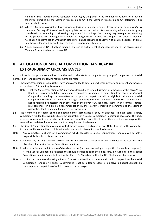Handicap. Such inquiry may be requested in writing by the player to the Member Association, or it may be otherwise launched by the Member Association or GA if the Member Association or GA determines it is appropriate to do so.

- (ii) Where a Member Association has reviewed a decision of a club to adjust, freeze or suspend a player's GA Handicap, GA may (if it considers it appropriate to do so) conduct its own inquiry with a view to giving consideration to amending or reinstating the player's GA Handicap. Such inquiry may be requested in writing by the player to GA (although GA is under no obligation to respond to a request to review a Member Association's determination when such determination has been made as a review of a club's decision), or it may be otherwise launched by GA if GA determines it is appropriate to do so.
- (iii) A decision made by GA is final and binding. There is no further right of appeal or review for the player, club or Member Association to a decision of GA.

## <span id="page-28-0"></span>**8. ALLOCATION OF SPECIAL COMPETITION HANDICAP IN EXTRAORDINARY CIRCUMSTANCES**

A committee in charge of a competition is authorised to allocate to a competitor (or group of competitors) a Special Competition Handicap if the following requirements are met:

- (i) The State Association or GA must first have been consulted to determine whether a general adjustment or otherwise of the player's GA Handicap is warranted.
	- Note: That the State Association or GA may have decided a general adjustment or otherwise of the player's GA Handicap is unwarranted does not prevent a committee in charge of a competition from allocating a Special Competition Handicap. A committee in charge of a competition will be eligible to allocate a Special Competition Handicap as soon as it has lodged in writing with the State Association or GA a submission or notice regarding re-assessment or otherwise of the player's GA Handicap. (Note: In this context, 'notice' may comprise for example a recommendation by the relevant competition committee to the Member Association for it to analyse the player's performances.)
- (ii) The committee in charge of the competition must accumulate a body of evidence (eg data, cards, scores, competition results) that would indicate the application of a Special Competition Handicap is necessary. The body of evidence need not be extensive but it must be compelling. Note: It will be for the committee in charge of the competition to determine whether or not this requirement has been met.
- (iii) The Special Competition Handicap must reflect the accumulated body of evidence. Note: It will be for the committee in charge of the competition to determine whether or not this requirement has been met.
- Note i: Any committee in charge of a competition which allocates a Special Competition Handicap will be solely responsible for all associated outcomes.
- Note ii: Neither GA, nor any Member Association, will be obliged to assist with any outcomes associated with the allocation of a specific Special Competition Handicap.
- Note iii: When entering a score into a player's handicap record (or when processing a competition for handicap purposes), it is the Special Competition Handicap that should be used to calculate a net score. (In such a case, the Special Competition Handicap must be listed as the 'Played Off' handicap within the GOLF Link data entry process.)
- Note iv: It is for the committee allocating a Special Competition Handicap to determine in which competitions the Special Competition Handicap will apply. A committee is not permitted to allocate to a player a Special Competition Handicap for a competition of which it does not have charge.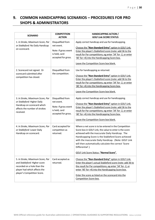## <span id="page-29-0"></span>**9. COMMON HANDICAPPING SCENARIOS – PROCEDURES FOR PRO SHOPS & ADMINISTRATORS**

| <b>SCENARIO</b>                                                                                                                                                | <b>COMPETITION</b><br><b>ACTION</b>                                                             | <b>HANDICAPPING ACTION /</b><br><b>GOLF Link SCORE STATUS</b>                                                                                                                                                                                                                                                                                                                                             |
|----------------------------------------------------------------------------------------------------------------------------------------------------------------|-------------------------------------------------------------------------------------------------|-----------------------------------------------------------------------------------------------------------------------------------------------------------------------------------------------------------------------------------------------------------------------------------------------------------------------------------------------------------------------------------------------------------|
| 1. In Stroke, Maximum Score, Par<br>or Stableford: No Daily Handicap<br>on scorecard.                                                                          | Disqualified from<br>net event.<br>Note: If gross event<br>is held, card<br>accepted for gross. | Apply correct handicap and use for handicapping.<br>Choose the "Non-Standard Entry" option in GOLF Link.<br>Enter the player's Stableford score (note: add 36 to the<br>result for Par competitions; eg enter '34' for -2, or enter<br>'40' for +4) into the Handicapping Score box.<br>Leave the Competition Score box blank.                                                                            |
| 2. Scorecard not signed. Or<br>scorecard submitted after<br>competition has closed.                                                                            | Disqualified from<br>the competition.                                                           | Use for handicapping as returned.<br>Choose the "Non-Standard Entry" option in GOLF Link.<br>Enter the player's Stableford score (note: add 36 to the<br>result for Par competitions; eg enter '34' for -2, or enter<br>'40' for +4) into the Handicapping Score box.<br>Leave the Competition Score box blank.                                                                                           |
| 3. In Stroke, Maximum Score, Par<br>or Stableford: Higher Daily<br>Handicap on scorecard which<br>affects the number of strokes<br>received.                   | Disqualified from<br>net event.<br>Note: If gross event<br>is held, card<br>accepted for gross. | Apply correct handicap and use for handicapping.<br>Choose the "Non-Standard Entry" option in GOLF Link.<br>Enter the player's Stableford score (note: add 36 to the<br>result for Par competitions; eg enter '34' for -2, or enter<br>'40' for +4) into the Handicapping Score box.<br>Leave the Competition Score box blank.                                                                            |
| 4. In Stroke, Maximum Score, Par<br>or Stableford: Lower Daily<br>Handicap on scorecard.                                                                       | Card accepted for<br>competition as<br>returned.                                                | Where a net score is to be entered in the Competition<br>Score box in GOLF Link, the value to enter is the score<br>achieved with the inaccurate Daily Handicap. The<br>Handicapping Score is the Stableford Score achieved<br>with the inaccurate Daily Handicap. (Note: GOLF Link<br>will then automatically calculate the correct 'Score<br>Differential'.)<br>GOLF Link Score Status: "Normal Score". |
| 5. In Stroke, Maximum Score, Par<br>and Stableford: Higher score<br>recorded on a hole than the<br>player had which affects the<br>player's Competition Score. | Card accepted as<br>returned.                                                                   | Choose the "Non-Standard Entry" option in GOLF Link.<br>Enter the player's actual Stableford score (note: add 36 to<br>the result for Par competitions; eg enter '34' for -2, or<br>enter '40' for +4) into the Handicapping Score box.<br>Enter the score as listed on the scorecard into the<br>Competition Score box.                                                                                  |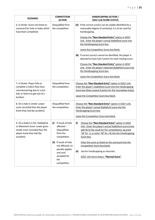| <b>SCENARIO</b>                                                                                                                                 | <b>COMPETITION</b><br><b>ACTION</b>                                                                                                                                                                      | <b>HANDICAPPING ACTION /</b><br><b>GOLF Link SCORE STATUS</b>                                                                                                                                                                                                                                                                                                                                                                                                                                                                                                                                                                     |
|-------------------------------------------------------------------------------------------------------------------------------------------------|----------------------------------------------------------------------------------------------------------------------------------------------------------------------------------------------------------|-----------------------------------------------------------------------------------------------------------------------------------------------------------------------------------------------------------------------------------------------------------------------------------------------------------------------------------------------------------------------------------------------------------------------------------------------------------------------------------------------------------------------------------------------------------------------------------------------------------------------------------|
| 6. In Stroke: Score not listed on<br>scorecard for hole or holes which<br>have been completed.                                                  | Disqualified from<br>the competition.                                                                                                                                                                    | (A) If the correct score/s can be readily identified (to a<br>reasonable degree of certainty), it is to be used for<br>handicapping.<br>Choose the "Non-Standard Entry" option in GOLF<br>Link. Enter the player's actual Stableford score into<br>the Handicapping Score box.<br>Leave the Competition Score box blank.<br>(B) If correct score/s cannot be identified, the player is<br>deemed to have had 2 points for each missing score.<br>Choose the "Non-Standard Entry" option in GOLF<br>Link. Enter the player's deemed Stableford score into<br>the Handicapping Score box.<br>Leave the Competition Score box blank. |
| 7. In Stroke: Player fails to<br>complete a hole/s they have<br>commenced (eg due to a lost<br>ball, or failure to get out of a<br>bunker).     | Disqualified from<br>the competition.                                                                                                                                                                    | Choose the "Non-Standard Entry" option in GOLF Link.<br>Enter the player's Stableford score into the Handicapping<br>Score box (they receive 0 points for the incomplete holes).<br>Leave the Competition Score box blank.                                                                                                                                                                                                                                                                                                                                                                                                        |
| 8. On a hole in stroke: Lower<br>score recorded than the player<br>knew they had (by accident).                                                 | Disqualified from<br>the competition.                                                                                                                                                                    | Choose the "Non-Standard Entry" option in GOLF Link.<br>Enter the player's actual Stableford score into the<br>Handicapping Score box.<br>Leave the Competition Score box blank.                                                                                                                                                                                                                                                                                                                                                                                                                                                  |
| 9. On a hole/s in Par, Stableford,<br>or Maximum Score: Lower gross<br>stroke score recorded than the<br>player knew they had (by<br>accident). | If result of hole<br>(i)<br>affected-<br>Disqualified<br>from the<br>competition.<br>If result of hole<br>(ii)<br>not affected, no<br>penalty applies<br>and card<br>accepted for<br>the<br>competition. | Choose the "Non-Standard Entry" option in GOLF<br>(i)<br>Link. Enter the player's actual Stableford score (note:<br>add 36 to the result for Par competitions; eg enter<br>'34' for -2, or enter '40' for +4) into the Handicapping<br>Score box.<br>Enter the score as listed on the scorecard into the<br>Competition Score box blank.<br>Use for handicapping as returned.<br>(ii)<br><b>GOLF Link Score Status: "Normal Score".</b>                                                                                                                                                                                           |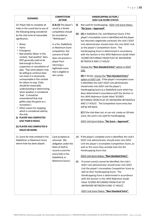| <b>SCENARIO</b>                                                                                                                                                                                                                                                                                                                                                                                                                                                                                                                                                                                                                                                                                                                                                                                                                                                                                                  | <b>COMPETITION</b><br><b>ACTION</b>                                                                                                                                                                                                                                                                          | <b>HANDICAPPING ACTION /</b><br><b>GOLF Link SCORE STATUS</b>                                                                                                                                                                                                                                                                                                                                                                                                                                                                                                                                                                                                                                                                                                                                                                                                                                                                                                                                                                                                                                                                                                                                                                                                      |
|------------------------------------------------------------------------------------------------------------------------------------------------------------------------------------------------------------------------------------------------------------------------------------------------------------------------------------------------------------------------------------------------------------------------------------------------------------------------------------------------------------------------------------------------------------------------------------------------------------------------------------------------------------------------------------------------------------------------------------------------------------------------------------------------------------------------------------------------------------------------------------------------------------------|--------------------------------------------------------------------------------------------------------------------------------------------------------------------------------------------------------------------------------------------------------------------------------------------------------------|--------------------------------------------------------------------------------------------------------------------------------------------------------------------------------------------------------------------------------------------------------------------------------------------------------------------------------------------------------------------------------------------------------------------------------------------------------------------------------------------------------------------------------------------------------------------------------------------------------------------------------------------------------------------------------------------------------------------------------------------------------------------------------------------------------------------------------------------------------------------------------------------------------------------------------------------------------------------------------------------------------------------------------------------------------------------------------------------------------------------------------------------------------------------------------------------------------------------------------------------------------------------|
| 10. Player fails to complete all<br>holes in the round due to any of<br>the following being considered<br>by the club to be of reasonable<br>significance:<br><sup>□</sup> Illness<br>Injury<br>Emergency<br>Bad weather (Note: In this<br>context, 'bad weather' does<br>NOT generally need to be<br>bad enough to force a<br>suspension or cancellation of<br>play. That some players may<br>be willing to continue does<br>not mean it is necessarily<br>unreasonable in this context<br>for others to stop. Clubs<br>should be reasonably<br>understanding in determining<br>when weather is considered<br>'bad'. It should be<br>remembered that club<br>golfers play the game as a<br>recreation.)<br><sup>□</sup> Other reason for stopping<br>which is considered valid by<br>the club.<br>(i) PLAYER HAS COMPLETED<br><b>LESS THAN 8 HOLES.</b><br>(ii) PLAYER HAS COMPLETED 8<br><b>HOLES OR MORE.</b> | (i) & (ii) The player's<br>result in a Stroke<br>competition should<br>be recorded as<br>"Withdrawn".<br>In a Par, Stableford,<br>or Maximum Score<br>competition, this<br>scenario of itself<br>does not prevent a<br>player from<br>returning a<br>legitimate score<br>that is eligible to<br>win a prize. | Not used for handicapping. GOLF Link Score Status:<br>(i)<br>"No Score - Approved".<br>(ii)<br>(A) In Stableford, Par, and Maximum Score, if the<br>player's incomplete score is identified and the player<br>has returned a legitimate scorecard, the club's GOLF<br>Link administrator should enter this into GOLF Link<br>as the player's Competition Score. The<br>Handicapping Score is determined in accordance<br>with the Section in this WHS Reference Guide titled<br>'SCORES RETURNED FROM PLAY OF ANYWHERE<br>BETWEEN 8 AND 17 HOLES'.<br>Choose the "Non-Standard Entry" option in GOLF<br>Link.<br>(B) In Stroke, choose the "Non-Standard Entry"<br>option in GOLF Link. If the player's incomplete score<br>is identified, the club's GOLF Link administrator<br>should enter into GOLF Link the player's<br>Handicapping Score as a Stableford score which has<br>been determined in accordance with the Section in<br>this WHS Reference Guide titled 'SCORES<br>RETURNED FROM PLAY OF ANYWHERE BETWEEN 8<br>AND 17 HOLES'. The Competition Score entry box<br>will be left blank.<br>(C) If the club does not, or can not, create an 18-hole<br>score, the card is not used for handicapping.<br>GOLF Link Score Status: "No Score - Approved". |
| 11. Score for hole omitted in Par,<br>Stableford, or Maximum Score<br>where hole has been played.                                                                                                                                                                                                                                                                                                                                                                                                                                                                                                                                                                                                                                                                                                                                                                                                                | Card accepted as<br>returned. (No<br>obligation under the<br>Rules of Golf to<br>record a score for<br>every hole in Par,<br>Stableford, or<br>Maximum Score.)                                                                                                                                               | If the player's complete score is identified, the club's<br>(A)<br>GOLF Link administrator should enter into GOLF<br>Link the player's incomplete Competition Score, as<br>well as the score they actually had into the<br>Handicapping Score box.<br><b>GOLF Link Score Status: "Non-Standard Entry".</b><br>If correct score/s cannot be identified, the club's<br>(B)<br>GOLF Link administrator should enter into GOLF<br>Link the player's incomplete Competition Score as<br>well as their Handicapping Score. The<br>Handicapping Score is determined in accordance<br>with the Section in this WHS Reference Guide<br>titled 'SCORES RETURNED FROM PLAY OF<br>ANYWHERE BETWEEN 8 AND 17 HOLES'.<br><b>GOLF Link Score Status: "Non-Standard Entry".</b>                                                                                                                                                                                                                                                                                                                                                                                                                                                                                                    |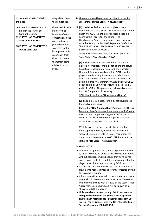| 12. When NOT APPROVED by<br>the club:                                                                                                                                                              | Disqualified from<br>the competition.                                                                                                                                                                                                                             | (i) The round should be entered into GOLF Link with a<br>Score Status of: "No Score - Not Approved".                                                                                                                                                                                                                                                                                                                                                                                                                                                                                                                                                                                                                                                                                                                                                                                                                                                                                                                                                                                                                                                                                                                                                                                                                                                                                                                                                                                                                                                                                                                                                                                                                                       |
|----------------------------------------------------------------------------------------------------------------------------------------------------------------------------------------------------|-------------------------------------------------------------------------------------------------------------------------------------------------------------------------------------------------------------------------------------------------------------------|--------------------------------------------------------------------------------------------------------------------------------------------------------------------------------------------------------------------------------------------------------------------------------------------------------------------------------------------------------------------------------------------------------------------------------------------------------------------------------------------------------------------------------------------------------------------------------------------------------------------------------------------------------------------------------------------------------------------------------------------------------------------------------------------------------------------------------------------------------------------------------------------------------------------------------------------------------------------------------------------------------------------------------------------------------------------------------------------------------------------------------------------------------------------------------------------------------------------------------------------------------------------------------------------------------------------------------------------------------------------------------------------------------------------------------------------------------------------------------------------------------------------------------------------------------------------------------------------------------------------------------------------------------------------------------------------------------------------------------------------|
| ◆ Player fails to complete all<br>holes in the round, or;<br>◆ Card not returned.<br>(i) PLAYER HAS COMPLETED<br><b>LESS THAN 8 HOLES.</b><br>(ii) PLAYER HAS COMPLETED 8<br><b>HOLES OR MORE.</b> | (Exception: In a Par,<br>Stableford, or<br>Maximum Score<br>competition, if the<br>player returns a<br>properly completed<br>scorecard for the<br>holes played, this<br>scenario in itself<br>does not prevent<br>them from being<br>eligible to win a<br>prize.) | (ii) (A) If a disqualified player's incomplete score is<br>identified, the club's GOLF Link administrator should<br>enter into GOLF Link the player's Handicapping<br>Score as their score for the round. The<br>Handicapping Score is determined in accordance<br>with the Section in this WHS Reference Guide titled<br>'SCORES RETURNED FROM PLAY OF ANYWHERE<br>BETWEEN 8 AND 17 HOLES'.<br>Leave the Competition Score box blank. GOLF Link<br>Score Status: "Non-Standard Entry".<br>(B) In Stableford, Par, and Maximum Score, if the<br>player's incomplete score is identified and the player<br>has returned a legitimate scorecard, the club's GOLF<br>Link administrator should enter into GOLF Link the<br>player's Handicapping Score as a Stableford score<br>which has been determined in accordance with the<br>Section in this WHS Reference Guide titled 'SCORES<br><b>RETURNED FROM PLAY OF ANYWHERE BETWEEN 8</b><br>AND 17 HOLES'. The player's actual score is entered<br>into the Competition Score entry box.<br><b>GOLF Link Score Status: "Non-Standard Entry".</b><br>(C) If a complete 18-hole score is identified, it is used<br>for handicapping as played.<br>Choose the "Non-Standard Entry" option in GOLF Link.<br>Enter the player's Stableford score (note: add 36 to the<br>result for Par competitions; eg enter '34' for -2, or<br>enter '40' for +4) into the Handicapping Score box.<br>Leave the Competition Score box blank.<br>(D) If the player's score is not identified, or if the<br>Handicapping Authority decides not to apply the<br>'Scores Returned Over 8-17 Holes' regulation; the<br>round should be entered into GOLF Link with a Score<br>Status of: "No Score - Not Approved". |
|                                                                                                                                                                                                    |                                                                                                                                                                                                                                                                   | <b>GENERAL NOTE:</b>                                                                                                                                                                                                                                                                                                                                                                                                                                                                                                                                                                                                                                                                                                                                                                                                                                                                                                                                                                                                                                                                                                                                                                                                                                                                                                                                                                                                                                                                                                                                                                                                                                                                                                                       |
|                                                                                                                                                                                                    |                                                                                                                                                                                                                                                                   | • In the vast majority of cases where a player has failed<br>to return a scorecard or has failed to complete a round<br>without good reason, it is because they have played<br>poorly. As a result, it is equitable and accurate that the<br>player be attributed a poor score by GOLF Link.<br>• It is also the case that there exists a small minority of<br>players who repeatedly fail to return scorecards or who<br>fail to complete rounds.<br>• A handicap will lose its full status in the event that a<br>player should accrue in their most recent 20 scores<br>five or more entries with a status of 'No Score - Not<br>Approved'. Such a handicap will be known as a<br>"Provisional GA Handicap".<br>• Clubs are able to access through GOLF Link a report<br>listing the number of "No Score - Not Approved"<br>entries each member has in their most recent 20<br>scores. For assistance, ring the GOLF Link Customer<br>Service Centre on 1300 650 750.                                                                                                                                                                                                                                                                                                                                                                                                                                                                                                                                                                                                                                                                                                                                                                   |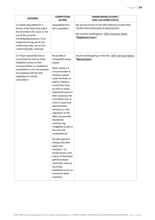| <b>SCENARIO</b>                                                                                                                                                                                                                                                | <b>COMPETITION</b><br><b>ACTION</b>                                                                                                                                                                                                                                                                                                                                                                                                                                                                                                                                                                                                                                                                                                         | <b>HANDICAPPING ACTION /</b><br><b>GOLF Link SCORE STATUS</b>                                                                                                                     |
|----------------------------------------------------------------------------------------------------------------------------------------------------------------------------------------------------------------------------------------------------------------|---------------------------------------------------------------------------------------------------------------------------------------------------------------------------------------------------------------------------------------------------------------------------------------------------------------------------------------------------------------------------------------------------------------------------------------------------------------------------------------------------------------------------------------------------------------------------------------------------------------------------------------------------------------------------------------------------------------------------------------------|-----------------------------------------------------------------------------------------------------------------------------------------------------------------------------------|
| 13. Player disqualified for a<br>breach of the Rules that makes<br>the estimation of a score, or the<br>use of the round for<br>handicapping purposes, to be<br>inappropriate (eg use of non-<br>conforming clubs, use of non-<br>conforming balls, cheating). | Disqualified from<br>the competition.                                                                                                                                                                                                                                                                                                                                                                                                                                                                                                                                                                                                                                                                                                       | See also the Section in this WHS Reference Guide titled<br>'SCORE FOR PLAYER WHO IS DISQUALIFIED'.<br>Not used for handicapping. GOLF Link Score Status:<br>"Illegitimate Score". |
| 14. Player repeatedly fails to<br>record hole-by-hole (or total)<br>Stableford scores on their<br>scorecard either in a Stableford<br>competition, or for the purposes<br>of complying with the SHA<br>regulation in a Stroke<br>competition.                  | No penalty in<br>competition being<br>played.<br>(Note: While it is<br>not permissible to<br>penalise a player<br>under the Rules of<br>Golf for failing to<br>record their hole-<br>by-hole (or total)<br>Stableford points on<br>their scorecard, the<br>Committee may, in<br>order to assist club<br>administrators,<br>introduce a 'club<br>regulation' to this<br>effect and provide<br>disciplinary<br>sanctions (eg<br>ineligibility to play in<br>the next club<br>competition/s).<br>GA will support in<br>writing clubs that<br>apply such<br>sanctions. It is<br>fundamental to the<br>culture of Australian<br>golf that players<br>assist their clubs by<br>recording<br>Stableford scores on<br>scorecards when<br>required.) | Use for handicapping as returned. GOLF Link Score Status:<br>"Normal Score".                                                                                                      |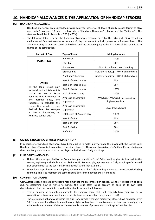## <span id="page-34-0"></span>**10. HANDICAP ALLOWANCES & THE APPLICATION OF HANDICAP STROKES**

#### <span id="page-34-1"></span>**(A) HANDICAP ALLOWANCES**

- Handicap allowances are designed to provide equity for players of all levels of ability in each format of play, over both 9 holes and 18 holes. In Australia, a "Handicap Allowance" is known as "the Multiplier". The standard Multiplier in Australia is 0.93 (or 93%).
- The following table sets out the handicap allowances recommended by The R&A and USGA (based on medium-sized field net events) for formats of play that are not typically played on a frequent basis. The allowances may be adjusted based on field size and the desired equity at the discretion of the committee in charge of the competition:

| <b>Format of Play</b>                                                                                                                                                                                            | <b>Type of Round</b>               | <b>Multiplier Value</b>                            |
|------------------------------------------------------------------------------------------------------------------------------------------------------------------------------------------------------------------|------------------------------------|----------------------------------------------------|
| <b>MATCH PLAY</b>                                                                                                                                                                                                | Individual                         | 100%                                               |
|                                                                                                                                                                                                                  | Four-Ball                          | 90%                                                |
| <b>OTHER</b><br>(In the team stroke play)<br>formats listed in this table it is                                                                                                                                  | <b>Foursomes</b>                   | 50% of combined team handicap                      |
|                                                                                                                                                                                                                  | Greensomes                         | 60% low handicap + 40% high handicap               |
|                                                                                                                                                                                                                  | Pinehurst/Chapman                  | 60% low handicap + 40% high handicap               |
|                                                                                                                                                                                                                  | Best 1 of 4 stroke play            | 75%                                                |
|                                                                                                                                                                                                                  | Best 2 of 4 stroke play            | 85%                                                |
|                                                                                                                                                                                                                  | Best 3 of 4 stroke play            | 100%                                               |
| typical<br>to use a team                                                                                                                                                                                         | All 4 of 4 stroke play             | 100%                                               |
| handicap that is rounded to<br>decimal<br>place,<br>one<br>and<br>therefore to calculate the<br>competition results to one<br>decimal place. For example<br>Stroke Foursomes, or<br>in.<br>Ambrose events, etc.) | Ambrose or Scramble<br>(4 players) | 25%/20%/15%/10% from lowest to<br>highest handicap |
|                                                                                                                                                                                                                  | Ambrose or Scramble<br>(2 players) | 35% low/15% high                                   |
|                                                                                                                                                                                                                  | Total score of 2 match play        | 100%                                               |
|                                                                                                                                                                                                                  | Best 1 of 4 Par                    | 75%                                                |
|                                                                                                                                                                                                                  | Best 2 of 4 Par                    | 80%                                                |
|                                                                                                                                                                                                                  | Best 3 of 4 Par                    | 90%                                                |
|                                                                                                                                                                                                                  | 4 of 4 Par                         | 100%                                               |

#### <span id="page-34-2"></span>**(B) GIVING & RECEIVING STROKES IN MATCH PLAY**

In general, after handicap allowances have been applied in match play formats, the player with the lowest Daily Handicap plays off zero strokes relative to the other player(s). The other player(s) receive(s) the difference between their own Daily Handicap and that of the player with the lowest Daily Handicap.

#### <span id="page-34-3"></span>**(C) PLUS DAILY HANDICAPS**

- Unless otherwise specified by the Committee, players with a 'plus' Daily Handicap give strokes back to the course, beginning at the hole with stroke index 18. For example, a player with a Daily Handicap of +2 would give strokes back to the course at the holes with stroke index 18 and 17.
- When handicap allowances are applied, a player with a plus Daily Handicap moves up towards zero including rounding. This is to maintain the same relative difference between Daily Handicaps

#### <span id="page-34-4"></span>**(D) COMPETITION GRADES**

Golf Australia does not make any specific recommendations on competition grades. We feel it is best left to each club to determine how it wishes to handle this issue after taking account of each of its own local characteristics. Factors taken into consideration should include the following:

- Typical number of competition entrants (for example some clubs will regularly have only five or so competition entrants making it unnecessary to have any more than two grades, if that).
- The distribution of handicaps within the club (for example if the vast majority of players have handicaps over 30, it may mean A and B grade should have a higher ceiling than if there is a reasonable proportion of players with handicaps between 20-30, and a reasonable number of players with handicaps of less than 20).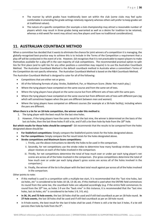- The manner by which grades have traditionally been set within the club (some clubs may feel quite comfortable in amending the grade settings relatively regularly whereas others will prefer to keep grades set at traditional values).
- The nature of a specific competition (for example a club championship may attract a reasonable number of players which may result in three grades being warranted as well as a desire for tradition to be retained, whereas a mid-week Par event may attract very few players and have no traditional considerations).

## <span id="page-35-0"></span>**11. AUSTRALIAN COUNTBACK METHOD**

When a committee has decided that it wants to eliminate the chance for joint winners of a competition it is managing, the globally-recognised best-practice way to achieve this is to include in the Terms of the Competition a requirement that a play-off will be conducted in the event of a tie. However, GA recognises that it is not practicable to expect players to make themselves available for a play-off in the vast majority of club competitions. The recommended practical option to split ties for first place (and to split ties for any other positions a committee may require) is to use the Australian Countback Method. The Australian Countback Method is the default countback method in Australia when a committee's Terms of the Competition do not specify otherwise. The Australian Countback Method is based on the R&A Countback Method.

The Australian Countback Method is designed to cater for all of the following:

- Competitions that are either net or gross.
- All of the following formats of play: Stroke, Stableford, Par, or Maximum Score. (Note: Not match play.)
- Where the tying players have competed on the same course and from the same set of tees.
- Where the tying players have played on the same course but from different sets of tees with the same pars.
- Where the tying players have competed on the same course but from different sets of tees with different pars (eg which will sometimes happen when the pars are different between men and women).
- Where the tying players have competed on different courses (for example at a 36-hole facility), including where the pars are different.

#### **When there is a tie for an 18-hole competition, the winner under this method is:**

- 1. The tying player with the best result for the last nine holes.
- 2. However, if the tying players have the same result for the last nine, the winner is determined on the basis of the last six holes, then the last three holes if still a tie, and if still a tie then hole-by-hole from the 18<sup>th</sup> hole.

**But which results for these holes should be compared?** GA recommends that the results to be compared from the holes designated above should be:

- **For Stableford competitions:** Simply compare the Stableford points totals for the holes designated above.
- **For Par competitions:** Simply compare the Par result totals for the holes designated above.
- **Stroke competitions and Maximum Score competitions:**
	- i. Firstly, use the above instructions to identify the holes to be used in the comparison.
	- ii. Secondly, for net competitions use the stroke index to determine how many handicap strokes each tying player receives on each of the holes involved in the comparison.
	- iii. Thirdly, for net competitions determine the total of how much over or under par each tying player's net scores are across all of the holes involved in the comparison. [For gross competitions determine the total of how much over or under par each tying player's gross scores are across all of the holes involved in the comparison.]
	- iv. Finally, the winner of the tie is the player with the best total result against par across all of the holes involved in the comparison.

Other points to note:

- If this method is used in a competition with a multiple-tee start, it is recommended that the "last nine holes, last six holes, etc" is considered to be holes 10-18, 13-18, etc. If this method is used when the ENTIRE field commences its round from the same tee, the countback holes are adjusted accordingly (e.g. if the entire field commences its round from the 10<sup>th</sup> tee, as holes 1-9 are the "back nine" in this instance, it is recommended that the "last nine holes, last six holes, etc" is considered to be holes 1-9, 3-9, etc).
- **In 36, 54, and 72-hole events**, the last 18 holes shall be used and if still tied countback as per an 18-hole round. **In 27-hole events**, the last 18 holes shall be used and if still tied countback as per an 18-hole round.
- In 9-hole events, the best result for the last 6 holes shall be used; if there is still a tie the last 3 holes, if a tie still persists then hole-by-hole from the 9<sup>th</sup>.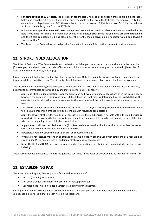- **For competitions of 10-17 holes**, the best result for the last 9 holes shall be used; if there is still a tie the last 6 holes, and then the last 3 holes. If a tie still persists then hole-by-hole from the last hole. For example, if a 12-hole competition is played over holes 1-12 the countback is based on holes 4-12, if still a tie, holes 7-12, if still a tie holes 9-12, and then hole by hole from the  $12<sup>th</sup>$  hole.
- **In handicap competitions over 9-17 holes**, each player's competition handicap allowance is determined by the 18 hole stroke index. With nine-hole medal play events for example, if stroke index holes 1 and 3 are on the front nine and the 9-hole competition is being played over the front 9 then a player on a 3 handicap would be allowed 2 strokes for that 9.
- The Terms of the Competition should provide for what will happen if this method does not produce a winner.

## <span id="page-36-0"></span>**12. STROKE INDEX ALLOCATION**

The Rules of Golf state: "The Committee is responsible for publishing on the scorecard or somewhere else that is visible (for example, near the first tee) the order of holes at which handicap strokes are to be given or received." (See Rules of Golf, Committee Procedures, Rule 5I (4)).

It is recommended that a stroke index allocation be applied over 18-holes, split into six triads with each hole ranked on its playing difficulty relative to par. The difficulty of each hole can be determined objectively using hole-by-hole data.

The recommended methodology and procedures for determining a stroke index allocation within the six triad structure, designed to accommodate both stroke play and match play formats, is as follows:

- Apply odd stroke index allocations over the front nine and even stroke index allocations over the back nine. If, however, the back nine is significantly more difficult than the front nine, as determined by the Scratch Rating, the even stroke index allocations can be switched to the front nine and the odd stroke index allocations to the back nine.
- Spread stroke index allocations evenly over the 18 holes so that players receiving strokes will have the opportunity to use a high proportion of these strokes before a match result has been decided.
- Apply the lowest stroke index hole (1 or 2) on each nine in the middle triad. If no hole within the middle triad is ranked within the lowest 6 holes relative to par, then it can be moved into an adjacent hole at the end of the first triad or the beginning of the third triad on each nine.
- Apply the second lowest stroke index hole (3 or 4) on each nine in either the first or third triad, unless the lowest stroke index hole has been allocated in that same triad.
- If possible, avoid low stroke indexes (6 or less) on consecutive holes.
- When a player receives more than 18 strokes, the same allocation order is used with stroke index 1 repeating as stroke index 19, 37 and 55, with all additional strokes going up sequentially.
- Note: The R&A and USGA best practice guidelines for formulation of stroke indexes do not include the use of 'split indexing'.

These recommended procedures support the guidance contained in the Rules of Golf, Committee Procedures, Rule 5I (4).

## <span id="page-36-1"></span>**13. ESTABLISHING PAR**

The Rules of Handicapping feature par as a factor in the calculation of:

- Net par (for hole(s) not played)
- Net double bogey (maximum hole score for handicap purposes)
- Daily Handicap (which includes a Scratch Rating minus Par adjustment)

It is important that an accurate par be established for each hole on a golf course for both men and women, and these values should be printed alongside each hole on the scorecard.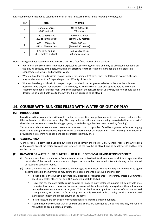It is recommended that par be established for each hole in accordance with the following hole lengths:

| Par | Men                                     | Women                                   |  |  |
|-----|-----------------------------------------|-----------------------------------------|--|--|
| 3   | Up to 260 yards<br>(240 metres)         | Up to 220 yards<br>(200 metres)         |  |  |
| 4   | 240 to 490 yards<br>(220 to 450 metres) | 200 to 420 yards<br>(180 to 380 metres) |  |  |
| 5   | 450 to 710 yards<br>(410 to 650 metres) | 370 to 600 yards<br>(340 to 550 metres) |  |  |
| 6   | 670 yards and up<br>(610 metres and up) | 570 yards and up<br>(520 metres and up) |  |  |

Note: These guidelines assume an altitude less than 2,000 feet / 610 metres above sea level.

- Par reflects the score a scratch player is expected to score on a given hole and may be allocated depending on the playing difficulty of the hole, including any effective length correction factors, for example, elevation changes, forced layups, and prevalent wind.
- Where a hole length falls within two par ranges, for example 470 yards (men) or 400 yards (women), the par may be allocated as 4 or 5 depending on the difficulty of the hole.
- Where a hole length falls within two par ranges, par should be designated relative to the way the hole was designed to be played. For example, if the hole lengths from all sets of tees on a specific hole lie within the recommended par 4 range for men, with the exception of the forward tee at 250 yards, this hole should still be designated as a par 4 hole due to the way the hole is designed to be played.

### <span id="page-37-0"></span>**14. COURSE WITH BUNKERS FILLED WITH WATER OR OUT OF PLAY**

#### <span id="page-37-1"></span>**(A) INTRODUCTION**

From time to time a committee will have to conduct a competition on a golf course which has bunkers that are either filled with water or otherwise out of play. This may be because the bunkers are being renovated (either as a part of the club's normal renovation or building program, or to fix damage that has been caused by flooding).

This can be a relatively common occurrence in some areas and is a problem faced by organisers of events ranging from Friday twilight competitions right through to international championships. The following information is provided to help committees handle these circumstances if they arise.

#### <span id="page-37-2"></span>**(B) 'GENERAL AREA'**

'General Area' is a term that is used below; it is a defined term in the Rules of Golf. 'General Area' is the whole area of the course except the teeing area and putting green of the hole being played, and all penalty areas and bunkers on the course.

#### <span id="page-37-3"></span>**(C) DAMAGED OR WATER-FILLED BUNKERS – LOCAL RULE OPTIONS & HANDICAPPING OF SCORES**

- (i) Once a round has commenced, a Committee is not authorised to introduce a new Local Rule to apply for the remainder of that round. In a competition played over more than one round, a Local Rule may be introduced or rescinded between rounds.
- (ii) When a Committee considers a bunker to be damaged to the extent that it will require renovation to again become playable, the Committee may define the entire bunker to be ground under repair.
	- In such a case, the bunker is automatically classified as 'general area'. (Therefore, unless a Committee specifically states otherwise, Rule 16.1b applies, not Rule 16.1c.)
	- Heavy rain has the potential to cause bunkers to flood. In many instances bunkers will be playable once the water has cleared. In other instances bunkers will be substantially damaged and they will remain unplayable even once the water is gone. This can be due to a significant amount of sand and/or soil having moved, or bunker surfaces being left heavily covered with a sludgy residue which would significantly impact the proper playing of the game.
	- In rare cases, there can be safety considerations attached to damaged bunkers.
	- A committee may consider that all bunkers on a course are damaged to the extent that they will require renovation to again become playable.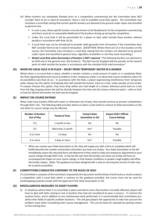- (iii) When bunkers are completely flooded prior to a competition commencing but the Committee does NOT consider them to be in need of renovation, there is still an available Local Rule option. The Committee may introduce a Local Rule stating that certain specific bunkers are deemed to be ground under repair and classified as general area.
	- In such a case, these specific bunkers must be known to be flooded prior to the competition commencing and there must be no reasonable likelihood of the bunkers drying up during the competition.
	- Under this Local Rule it will be permissible for a player to take relief outside these bunkers without penalty in accordance with Rule 16.1b.
	- A Local Rule may not be introduced to provide relief generally from all bunkers if the Committee does NOT consider them to be in need of renovation. (EXCEPTION: Where there are 15 or less bunkers on the course, the Committee may introduce a Local Rule stating that ALL bunkers are deemed to be ground under repair and classified as general area, regardless of whether or not they need renovating.)
	- **Model Local Rule when Renovation of Bunkers is NOT required:** "The following bunkers are deemed to be GUR and in the general area: [list bunkers]. The ball may be dropped without penalty at the nearest point of relief outside the bunker in accordance with the standard GUR relief procedure."

#### <span id="page-38-0"></span>**(D) WHEN NO LOCAL RULE IS IN PLACE – RELIEF FROM TEMPORARY WATER IN A BUNKER**

Where there is no Local Rule in place, whether a bunker contains a small amount of water or is completely filled, the Rule regarding Abnormal Course Conditions (note: temporary water is an abnormal course condition) caters for all possibilities (see Rule 16.1c). In accordance with this Rule, a player experiencing interference from temporary water always has the option of dropping their ball outside the bunker, back-on-a-line, under penalty of one stroke. If a player chooses this option, they must drop within one club-length of a chosen reference point back on a line from the flag, keeping where the ball lay directly between the hole and the chosen reference point – with no limit to how far behind the bunker the ball may be dropped.

#### <span id="page-38-1"></span>**(E) IMPACT ON COURSE RATINGS**

When clubs have bunkers filled with water or otherwise out of play, they should continue to process competitions through GOLF Link. The following table provides advice on when a club needs to contact its State Association or GA, and when its course ratings may be affected.

| <b>Number of Bunkers</b><br>Out of Play | <b>Period of Time</b> | <b>Contact State</b><br><b>Association or GA</b> | <b>Impact Club's Official</b><br><b>Course Ratings</b> |
|-----------------------------------------|-----------------------|--------------------------------------------------|--------------------------------------------------------|
| $0 - 5$                                 | 1 month or less       | No                                               | No                                                     |
| $0 - 5$                                 | More than 1 month     | Yes*                                             | Possibly                                               |
| 6 or more                               | $1-4$ days            | No                                               | No                                                     |
| 6 or more                               | 5 days or more        | Yes*                                             | Possibly                                               |

When you contact your State Association or GA, they will supply you with a form to complete which will briefly describe the number and location of bunkers you have out of play. Your State Association or GA will immediately assess the returned form and determine if they need to make any temporary adjustment to your course ratings through GOLF Link. It may be the case that the bunkers you have out of play will have an inconsequential impact on your course ratings, or that heavier conditions or greater rough heights will offset the bunker impact. (Note: This guidance has been designed with a view to ensuring the service of clubs may be as quick as possible.)

#### <span id="page-38-2"></span>**(F) COMPETITIONS CONDUCTED CONTRARY TO THE RULES OF GOLF**

If a committee is unaware of the restrictions imposed by this document and the Rules of Golf and as a result conducts a competition with a Local Rule which is contrary to the guidance provided, the scores must not be used for handicapping purposes except with the approval of the State Association or GA.

#### <span id="page-38-3"></span>**(G) MISCELLANEOUS MEASURES TO ASSIST PLAYERS**

(i) In situations where there is no Local Rule in place and where only a few bunkers are badly affected, players will have to deal with balls coming to rest in bunkers they had not considered to pose a concern. To remove the surprise factor, and in addition to any maintenance work performed, it is recommended that committees preadvise their fields of specific problem locations. This will give players the opportunity to take into account the problem areas when considering their course management. This can be done for example by posting notices on the starting tees.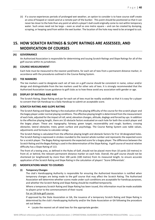(ii) If a course experiences periods of prolonged wet weather, an option to consider is to have course staff create an area of heaped or raised sand at a remote part of the bunker. This point should be positioned so that it can never be closer to the hole than any point at which a player's ball could originally come to rest within temporary water. Such areas need not be large – even as small as one metre square – and can be created by dumping, scraping, or heaping sand from within the wet bunker. The location of the hole may need to be arranged to suit.

## <span id="page-39-0"></span>**15. HOW SCRATCH RATINGS & SLOPE RATINGS ARE ASSESSED, AND MODIFICATION OF COURSES**

#### <span id="page-39-1"></span>**(A) GOVERNANCE**

An Authorized Association is responsible for determining and issuing Scratch Ratings and Slope Ratings for all of the golf courses within its jurisdiction.

#### <span id="page-39-2"></span>**(B) COURSE MEASUREMENT**

Each hole must be measured to the nearest yard/metre, for each set of tees from a permanent distance marker, in accordance with the procedures outlined in the Course Rating System.

#### <span id="page-39-3"></span>**(C) TEE MARKERS**

The tee markers used to designate each set of tees on a golf course should be consistent in name, colour and/or design and distinguishable from the tee markers used for other sets of tees. It is strongly recommended that the Authorized Association issues guidance to golf clubs as to how these avoid any association with gender or age.

#### <span id="page-39-4"></span>**(D) DISPLAY OF RATINGS AND PAR**

The Scratch Rating, Slope Rating and par for each set of tees must be readily available so that it is easy for a player to convert their GA Handicap to a Daily Handicap to submit an acceptable score.

#### <span id="page-39-5"></span>**(E) SCRATCH RATING AND SLOPE RATING**

The Scratch Rating and Slope Rating is the evaluation of the playing difficulty of the course for the scratch player and the bogey player under normal playing conditions. The effective playing length is determined from the measurement of each hole, adjusted for the impact of roll, wind, elevation changes, altitude, doglegs and forced lay ups. In addition to the effective playing length, there are 10 obstacle factors evaluated on each hole for both the scratch player and the bogey player. These are: topography; fairway; green target; recoverability and rough; bunkers; crossing obstacles; lateral obstacles; trees; green surface and psychology. The Course Rating System uses table values, adjustments and formulas to calculate ratings.

The Scratch Rating is calculated from the effective playing length and obstacle factors for 9 or 18 designated holes. The Scratch Rating is expressed in strokes rounded to the nearest whole number and represents the expected score for a scratch player. The Bogey Rating represents the expected score for a bogey player. The difference between the Scratch Rating and the Bogey Rating is used in the determination of the Slope Rating. A golf course of neutral relative difficulty has a Slope Rating of 113.

The front of a teeing area, as defined in the Rules of Golf, should not be placed more than 10 yards (10 metres) in front of, or behind, the relevant permanent distance marker on each hole. Overall, the golf course should not be shortened (or lengthened) by more than 100 yards (100 metres) from its measured length, to ensure accurate application of the Scratch Rating and Slope Rating in the calculation of players' 'Score Differentials'.

#### <span id="page-39-6"></span>**(F) MODIFICATIONS MADE TO COURSES**

#### **(i) Temporary Changes**

The club's Handicapping Authority is responsible for ensuring the Authorized Association is notified when temporary changes are being made to the golf course that may affect the Scratch Rating. The Authorized Association will determine whether scores made under such conditions are acceptable for handicap purposes, and whether the Scratch Rating and Slope Rating should be modified temporarily.

Where a temporary Scratch Rating and Slope Rating has been issued, this information must be made available to players prior to the commencement of their round.

#### For an 18-hole golf course:

If approved by the State Association or GA, the issuance of a temporary Scratch Rating and Slope Rating is determined by the club's Handicapping Authority and/or the State Association or GA following the procedure set out below:

■ Locate the nearest set of rated tees for the appropriate gender.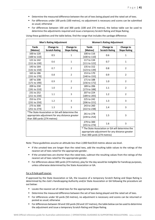- **•** Determine the measured difference between the set of tees being played and the rated set of tees.
- For differences under 100 yards (100 metres), no adjustment is necessary and scores can be submitted as usual; otherwise
- For differences between 100 and 300 yards (100 and 274 metres), the below table can be used to determine the adjustments required and issue a temporary Scratch Rating and Slope Rating.

| <b>Men's Rating Adjustment</b>                                                                                                    |                                    | <b>Women's Rating Adjustment</b>                                                                                                   |                                       |                                           |                                  |
|-----------------------------------------------------------------------------------------------------------------------------------|------------------------------------|------------------------------------------------------------------------------------------------------------------------------------|---------------------------------------|-------------------------------------------|----------------------------------|
| Yards<br>[Metres]                                                                                                                 | Change to<br><b>Scratch Rating</b> | Change to<br><b>Slope Rating</b>                                                                                                   | Yards<br>[Metres]                     | <b>Change to</b><br><b>Scratch Rating</b> | Change to<br><b>Slope Rating</b> |
| 100 to 120<br>$[100 \text{ to } 110]$                                                                                             | 0.5                                | $\mathbf{1}$                                                                                                                       | 100 to 116<br>$[100 \text{ to } 110]$ | 0.6                                       | $\mathbf{1}$                     |
| 121 to 142<br>$[111$ to $130]$                                                                                                    | 0.6                                | $\mathbf{1}$                                                                                                                       | 117 to 134<br>$[111$ to $122]$        | 0.7                                       | $\mathbf{1}$                     |
| 143 to 164<br>$[131$ to $150]$                                                                                                    | 0.7                                | $\overline{2}$                                                                                                                     | 135 to 152<br>[123 to 139]            | 0.8                                       | $\overline{2}$                   |
| 165 to 186<br>[151 to 170]                                                                                                        | 0.8                                | $\overline{2}$                                                                                                                     | 153 to 170<br>$[140 \text{ to } 155]$ | 0.9                                       | $\overline{2}$                   |
| 187 to 208<br>$[171$ to 190]                                                                                                      | 0.9                                | $\overline{2}$                                                                                                                     | 171 to 188<br>[156 to 172]            | 1.0                                       | $\overline{2}$                   |
| 209 to 230<br>[191 to 210]                                                                                                        | 1.0                                | $\overline{2}$                                                                                                                     | 189 to 206<br>[173 to 188]            | 1.1                                       | $\overline{2}$                   |
| 231 to 252<br>[211 to 230]                                                                                                        | 1.1                                | 3                                                                                                                                  | 207 to 224<br>[189 to 205]            | 1.2                                       | $\overline{2}$                   |
| 253 to 274<br>[231 to 250]                                                                                                        | 1.2                                | 3                                                                                                                                  | 225 to 242<br>[206 to 221]            | 1.3                                       | 3                                |
| 275 to 300<br>$[251$ to 274]                                                                                                      | 1.3                                | 3                                                                                                                                  | 243 to 260<br>[222 to 238]            | 1.4                                       | 3                                |
| *The State Association or GA will determine the<br>appropriate adjustment for any distance greater<br>than 300 yards (274 metres) |                                    | 261 to 278<br>[239 to 254]                                                                                                         | 1.5                                   | 3                                         |                                  |
|                                                                                                                                   |                                    |                                                                                                                                    | 279 to 300<br>[255 to 274]            | 1.6                                       | 3                                |
|                                                                                                                                   |                                    | * The State Association or GA will determine the<br>appropriate adjustment for any distance greater<br>than 300 yards (274 metres) |                                       |                                           |                                  |

Using these guidelines and the table below, find the range that includes the yardage difference:

Note: These guidelines assume an altitude less than 2,000 feet/610 metres above sea level.

- If the unrated tees are longer than the rated tees, add the resulting table values to the ratings of the nearest set of tees rated for the appropriate gender.
- If the unrated tees are shorter than the rated tees, subtract the resulting values from the ratings of the nearest set of tees rated for the appropriate gender.
- For differences above 300 yards (274 metres), play for the day would be ineligible for handicap purposes, unless otherwise determined by the State Association or GA.

#### For a 9-hole golf course:

If approved by the State Association or GA, the issuance of a temporary Scratch Rating and Slope Rating is determined by the club's Handicapping Authority and/or State Association or GA following the procedure set out below:

- Locate the nearest set of rated tees for the appropriate gender.
- **•** Determine the measured difference between the set of tees being played and the rated set of tees.
- For differences under 50 yards (50 metres), no adjustment is necessary and scores can be returned or posted as usual; otherwise
- For differences between 50 and 150 yards (50 and 137 metres), the table below can be used to determine the adjustment and issue a temporary Scratch Rating and Slope Rating.